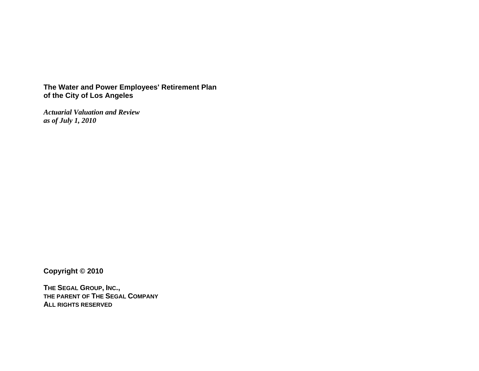# **The Water and Power Employees' Retirement Plan of the City of Los Angeles**

*Actuarial Valuation and Review as of July 1, 2010* 

**Copyright © 2010** 

**THE SEGAL GROUP, INC., THE PARENT OF THE SEGAL COMPANYALL RIGHTS RESERVED**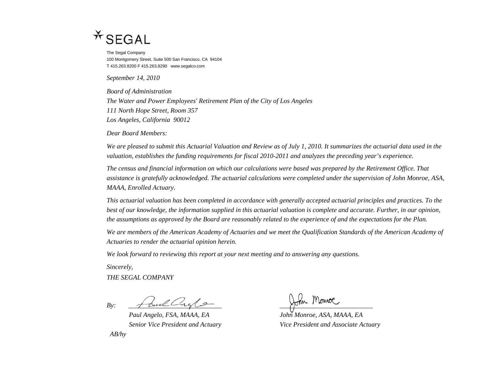# $*$  SEGAL

The Segal Company 100 Montgomery Street, Suite 500 San Francisco, CA 94104 T 415.263.8200 F 415.263.8290 www.segalco.com

*September 14, 2010* 

*Board of Administration The Water and Power Employees' Retirement Plan of the City of Los Angeles 111 North Hope Street, Room 357 Los Angeles, California 90012* 

*Dear Board Members:* 

*We are pleased to submit this Actuarial Valuation and Review as of July 1, 2010. It summarizes the actuarial data used in the valuation, establishes the funding requirements for fiscal 2010-2011 and analyzes the preceding year's experience.* 

*The census and financial information on which our calculations were based was prepared by the Retirement Office. That assistance is gratefully acknowledged. The actuarial calculations were completed under the supervision of John Monroe, ASA, MAAA, Enrolled Actuary.* 

*This actuarial valuation has been completed in accordance with generally accepted actuarial principles and practices. To the best of our knowledge, the information supplied in this actuarial valuation is complete and accurate. Further, in our opinion, the assumptions as approved by the Board are reasonably related to the experience of and the expectations for the Plan.* 

We are members of the American Academy of Actuaries and we meet the Qualification Standards of the American Academy of *Actuaries to render the actuarial opinion herein.* 

*We look forward to reviewing this report at your next meeting and to answering any questions.* 

*Sincerely,* 

*THE SEGAL COMPANY* 

 $By:$   $\frac{1}{\sqrt{2\pi}}$ 

*Paul Angelo, FSA, MAAA, EA John Monroe, ASA, MAAA, EA AB/hy* 

*Senior Vice President and Actuary Vice President and Associate Actuary*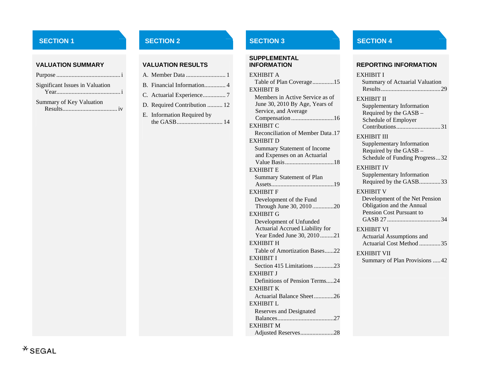#### **VALUATION SUMMARY VALUATION RESULTS**

| <b>Significant Issues in Valuation</b> |  |
|----------------------------------------|--|
| Summary of Key Valuation               |  |

| B. Financial Information 4   |
|------------------------------|
| C. Actuarial Experience7     |
| D. Required Contribution  12 |
| E. Information Required by   |

# **SUPPLEMENTAL**

EXHIBIT ATable of Plan Coverage..............15 EXHIBIT BMembers in Active Service as of June 30, 2010 By Age, Years of Service, and Average Compensation ............................16 EXHIBIT CReconciliation of Member Data .17EXHIBIT DSummary Statement of Income and Expenses on an Actuarial Value Basis................................18 EXHIBIT ESummary Statement of Plan Assets.........................................19 EXHIBIT FDevelopment of the Fund Through June 30, 2010 ..............20 EXHIBIT G Development of Unfunded Actuarial Accrued Liability for Year Ended June 30, 2010.........21 EXHIBIT HTable of Amortization Bases......22EXHIBIT ISection 415 Limitations .............23EXHIBIT JDefinitions of Pension Terms.....24 EXHIBIT KActuarial Balance Sheet.............26EXHIBIT LReserves and Designated Balances.....................................27EXHIBIT MAdjusted Reserves......................28

# **SECTION 1** SECTION 2 SECTION 2 SECTION 3 SECTION 4

#### **INFORMATION REPORTING INFORMATION**

| EXHIBIT I                        |
|----------------------------------|
| Summary of Actuarial Valuation   |
| <b>EXHIBIT II</b>                |
| Supplementary Information        |
| Required by the GASB -           |
| Schedule of Employer             |
| Contributions31                  |
| <b>EXHIBIT III</b>               |
| <b>Supplementary Information</b> |
| Required by the GASB -           |
| Schedule of Funding Progress32   |
| <b>EXHIBIT IV</b>                |
| <b>Supplementary Information</b> |
| Required by the GASB33           |
| <b>EXHIBIT V</b>                 |
| Development of the Net Pension   |
| Obligation and the Annual        |
| Pension Cost Pursuant to         |
|                                  |
| <b>EXHIBIT VI</b>                |
| Actuarial Assumptions and        |
| Actuarial Cost Method 35         |
| <b>EXHIBIT VII</b>               |
| Summary of Plan Provisions  42   |
|                                  |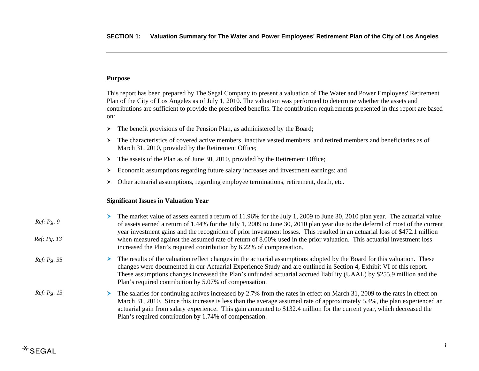# **Purpose**

This report has been prepared by The Segal Company to present a valuation of The Water and Power Employees' Retirement Plan of the City of Los Angeles as of July 1, 2010. The valuation was performed to determine whether the assets and contributions are sufficient to provide the prescribed benefits. The contribution requirements presented in this report are based on:

- $\blacktriangleright$ The benefit provisions of the Pension Plan, as administered by the Board;
- $\geq$  The characteristics of covered active members, inactive vested members, and retired members and beneficiaries as of March 31, 2010, provided by the Retirement Office;
- $\blacktriangleright$ The assets of the Plan as of June 30, 2010, provided by the Retirement Office;
- $\geq$  Economic assumptions regarding future salary increases and investment earnings; and
- $\rightarrow$  Other actuarial assumptions, regarding employee terminations, retirement, death, etc.

#### **Significant Issues in Valuation Year**

| Ref: Pg. 9         | The market value of assets earned a return of 11.96% for the July 1, 2009 to June 30, 2010 plan year. The actuarial value<br>of assets earned a return of 1.44% for the July 1, 2009 to June 30, 2010 plan year due to the deferral of most of the current                                                                                                                                                                                          |
|--------------------|-----------------------------------------------------------------------------------------------------------------------------------------------------------------------------------------------------------------------------------------------------------------------------------------------------------------------------------------------------------------------------------------------------------------------------------------------------|
| Ref: Pg. 13        | year investment gains and the recognition of prior investment losses. This resulted in an actuarial loss of \$472.1 million<br>when measured against the assumed rate of return of 8.00% used in the prior valuation. This actuarial investment loss<br>increased the Plan's required contribution by 6.22% of compensation.                                                                                                                        |
| <i>Ref: Pg. 35</i> | $\triangleright$ The results of the valuation reflect changes in the actuarial assumptions adopted by the Board for this valuation. These<br>changes were documented in our Actuarial Experience Study and are outlined in Section 4, Exhibit VI of this report.<br>These assumptions changes increased the Plan's unfunded actuarial accrued liability (UAAL) by \$255.9 million and the<br>Plan's required contribution by 5.07% of compensation. |
| <i>Ref: Pg. 13</i> | The salaries for continuing actives increased by 2.7% from the rates in effect on March 31, 2009 to the rates in effect on<br>March 31, 2010. Since this increase is less than the average assumed rate of approximately 5.4%, the plan experienced an<br>actuarial gain from salary experience. This gain amounted to \$132.4 million for the current year, which decreased the<br>Plan's required contribution by 1.74% of compensation.          |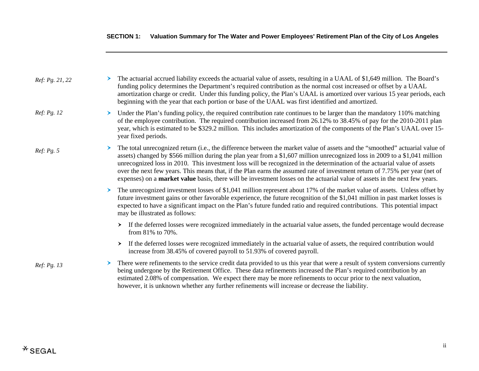| Ref: Pg. 21, 22 |   | The actuarial accrued liability exceeds the actuarial value of assets, resulting in a UAAL of \$1,649 million. The Board's<br>funding policy determines the Department's required contribution as the normal cost increased or offset by a UAAL<br>amortization charge or credit. Under this funding policy, the Plan's UAAL is amortized over various 15 year periods, each<br>beginning with the year that each portion or base of the UAAL was first identified and amortized.                                                                                                                                                                           |
|-----------------|---|-------------------------------------------------------------------------------------------------------------------------------------------------------------------------------------------------------------------------------------------------------------------------------------------------------------------------------------------------------------------------------------------------------------------------------------------------------------------------------------------------------------------------------------------------------------------------------------------------------------------------------------------------------------|
| Ref: Pg. 12     |   | Under the Plan's funding policy, the required contribution rate continues to be larger than the mandatory 110% matching<br>of the employee contribution. The required contribution increased from 26.12% to 38.45% of pay for the 2010-2011 plan<br>year, which is estimated to be \$329.2 million. This includes amortization of the components of the Plan's UAAL over 15-<br>year fixed periods.                                                                                                                                                                                                                                                         |
| Ref: Pg. 5      |   | The total unrecognized return (i.e., the difference between the market value of assets and the "smoothed" actuarial value of<br>assets) changed by \$566 million during the plan year from a \$1,607 million unrecognized loss in 2009 to a \$1,041 million<br>unrecognized loss in 2010. This investment loss will be recognized in the determination of the actuarial value of assets<br>over the next few years. This means that, if the Plan earns the assumed rate of investment return of 7.75% per year (net of<br>expenses) on a <b>market value</b> basis, there will be investment losses on the actuarial value of assets in the next few years. |
|                 |   | The unrecognized investment losses of \$1,041 million represent about 17% of the market value of assets. Unless offset by<br>future investment gains or other favorable experience, the future recognition of the \$1,041 million in past market losses is<br>expected to have a significant impact on the Plan's future funded ratio and required contributions. This potential impact<br>may be illustrated as follows:                                                                                                                                                                                                                                   |
|                 |   | > If the deferred losses were recognized immediately in the actuarial value assets, the funded percentage would decrease<br>from 81% to 70%.                                                                                                                                                                                                                                                                                                                                                                                                                                                                                                                |
|                 |   | If the deferred losses were recognized immediately in the actuarial value of assets, the required contribution would<br>$\left( \right)$<br>increase from 38.45% of covered payroll to 51.93% of covered payroll.                                                                                                                                                                                                                                                                                                                                                                                                                                           |
| Ref: Pg. 13     | ➤ | There were refinements to the service credit data provided to us this year that were a result of system conversions currently<br>being undergone by the Retirement Office. These data refinements increased the Plan's required contribution by an<br>estimated 2.08% of compensation. We expect there may be more refinements to occur prior to the next valuation,<br>however, it is unknown whether any further refinements will increase or decrease the liability.                                                                                                                                                                                     |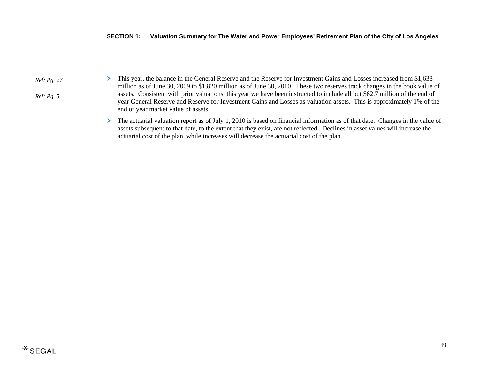*Ref: Pg. 2 7*

*Ref: Pg. 5* 

- $\blacktriangleright$  This year, the balance in the General Reserve and the Reserve for Investment Gains and Losses increased from \$1,638 million as of June 30, 2009 to \$1,820 million as of June 30, 2010. These two reserves track changes in the book value of assets. Consistent with prior valuations, this year we have been instructed to include all but \$62.7 million of the end of year General Reserve and Reserve for Investment Gains and Losses as valuation assets. This is approximately 1% of the end of year market value of assets.
	- $\blacktriangleright$  The actuarial valuation report as of July 1, 2010 is based on financial information as of that date. Changes in the value of assets subsequent to that date, to the extent that they exist, are not reflected. Declines in asset values will increase the actuarial cost of the plan, while increases will decrease the actuarial cost of the plan.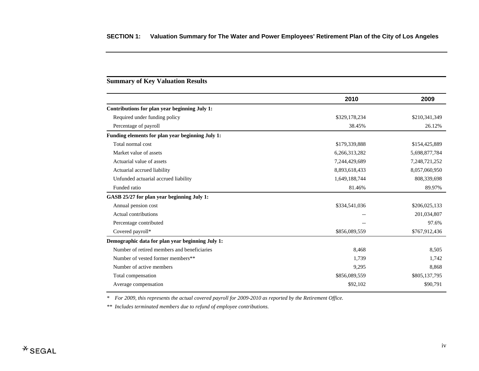# **Summary of Key Valuation Results**

| 2010          | 2009          |
|---------------|---------------|
|               |               |
| \$329,178,234 | \$210,341,349 |
| 38.45%        | 26.12%        |
|               |               |
| \$179,339,888 | \$154,425,889 |
| 6,266,313,282 | 5,698,877,784 |
| 7,244,429,689 | 7,248,721,252 |
| 8,893,618,433 | 8,057,060,950 |
| 1,649,188,744 | 808,339,698   |
| 81.46%        | 89.97%        |
|               |               |
| \$334,541,036 | \$206,025,133 |
| --            | 201,034,807   |
|               | 97.6%         |
| \$856,089,559 | \$767,912,436 |
|               |               |
| 8,468         | 8,505         |
| 1,739         | 1,742         |
| 9,295         | 8,868         |
| \$856,089,559 | \$805,137,795 |
| \$92,102      | \$90,791      |
|               |               |

*\* For 2009, this represents the actual covered payroll for 2009-2010 as reported by the Retirement Office.* 

*\*\* Includes terminated members due to refund of employee contributions.*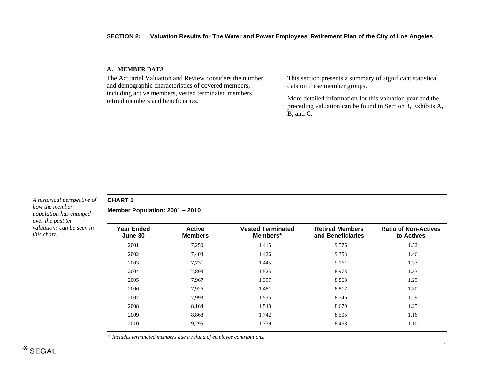#### **A. MEMBE R DATA**

The Actuarial Valuation and Review considers the number and demographic characteristics of covered members, including active members, vested terminated members, retired members and beneficiaries.

This section presents a summary of significant statistical data on these member groups.

More detailed information for this valuation year and the preceding valuation can be found in Section 3, Exhibits A, B, and C.

#### *A historical perspective of how the member population has changed over the past ten valuations can be seen in this chart.*

**CHART 1** 

**Member Population: 2001 – 2010** 

| <b>Year Ended</b><br>June 30 | <b>Active</b><br><b>Members</b> | <b>Vested Terminated</b><br>Members* | <b>Retired Members</b><br>and Beneficiaries | <b>Ratio of Non-Actives</b><br>to Actives |
|------------------------------|---------------------------------|--------------------------------------|---------------------------------------------|-------------------------------------------|
| 2001                         | 7,250                           | 1,415                                | 9,576                                       | 1.52                                      |
| 2002                         | 7,403                           | 1,426                                | 9,353                                       | 1.46                                      |
| 2003                         | 7,731                           | 1,445                                | 9,161                                       | 1.37                                      |
| 2004                         | 7.893                           | 1,525                                | 8,973                                       | 1.33                                      |
| 2005                         | 7.967                           | 1,397                                | 8,868                                       | 1.29                                      |
| 2006                         | 7,926                           | 1,481                                | 8,817                                       | 1.30                                      |
| 2007                         | 7,993                           | 1,535                                | 8.746                                       | 1.29                                      |
| 2008                         | 8,164                           | 1,548                                | 8,670                                       | 1.25                                      |
| 2009                         | 8.868                           | 1.742                                | 8,505                                       | 1.16                                      |
| 2010                         | 9,295                           | 1,739                                | 8,468                                       | 1.10                                      |

*\* Includes terminated members due a refund of employee contributions.*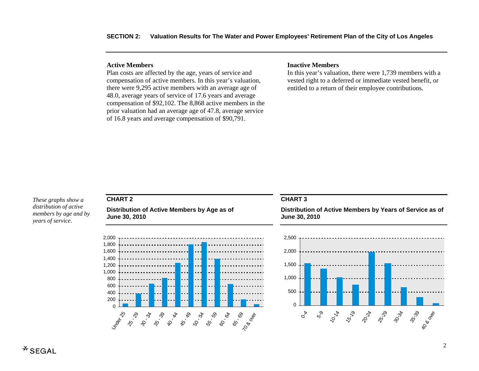#### **Active Members**

Plan costs are affected by the age, years of service and compensation of active members. In this year's valuation, there were 9,295 active members with an average age of 48.0, average years of service of 17.6 years and average compensation of \$92,102. The 8,868 active members in the prior valuation had an average age of 47.8, average service of 16.8 years and average compensation of \$90,791.

#### **Inactive Members**

In this year's valuation, there were 1,739 members with a vested right to a deferred or immediate vested benefit, or entitled to a return of their employee contributions.

*These graphs show a distribution of active members by age and by years of service.* 

# **CHART 2**

**Distribution of Active Members by Age as of June 30, 2010** 



#### **CHART 3**

**Distribution of Active Members by Years of Service as of June 30, 2010** 

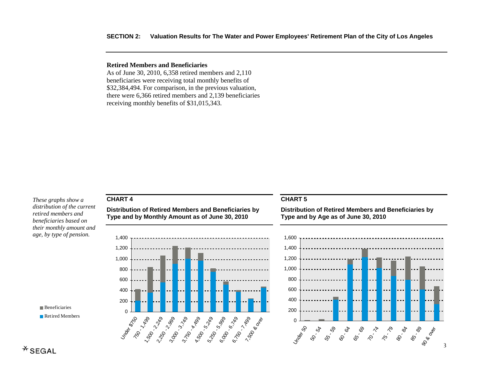#### **SECTION 2: Valuation Results for The Water and Power Employees' Retirement Plan of the City of Los Angeles**

# **Retired Members and Beneficiaries**

As of June 30, 2010, 6,358 retired members and 2,110 beneficiaries were receiving total monthly benefits of \$32,384,494. For comparison, in the previous valuation, there were 6,366 retired members and 2,139 beneficiaries receiving monthly benefits of \$31,015,343.

*These graphs show a distribution of the current retired members and beneficiaries based on their monthly amount and age, by type of pension.* 



# **CHART 4**

**Distribution of Retired Members and Beneficiaries by Type and by Monthly Amount as of June 30, 2010** 



#### **CHART 5**

**Distribution of Retired Members and Beneficiaries by Type and by Age as of June 30, 2010** 

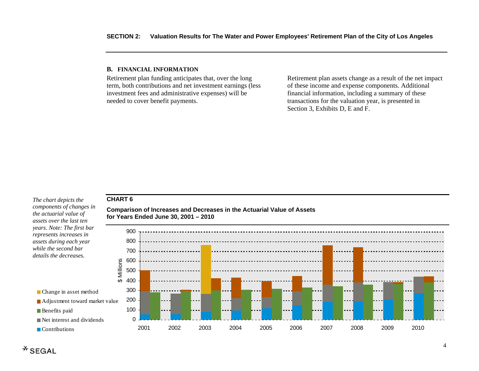#### **B. FINANCIAL INFORMATION**

Retirement plan funding anticipates that, over the long term, both contributions and net investment earnings (less investment fees and administrative expenses) will be needed to cover benefit payments.

Retirement plan assets change as a result of the net impact of these income and expense components. Additional financial information, including a summary of these transactions for the valuation year, is presented in Section 3, Exhibits D, E and F.

#### **CHART 6**

*The chart depicts the components of changes in the actuarial value of assets over the last ten years. Note: The first bar represents increases in assets during each year while the second bar details the decreases.* 

**Comparison of Increases and Decreases in the Actuarial Value of Assets for Years Ended June 30, 2001 – 2010** 



**Benefits paid** 

**Contributions**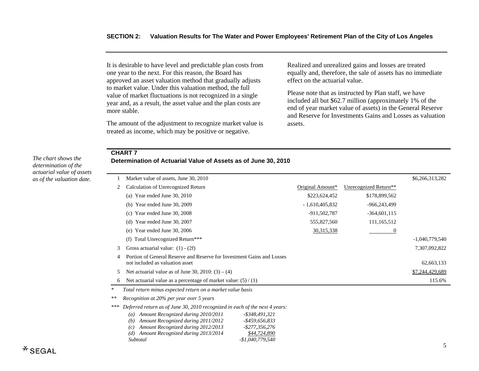It is desirable to have level and predictable plan costs from one year to the next. For this reason, the Board has approved an asset valuation method that gradually adjusts to market value. Under this valuation method, the full value of market fluctuations is not recognized in a single year and, as a result, the asset value and the plan costs are more stable.

The amount of the adjustment to recognize market value is treated as income, which may be positive or negative.

Realized and unrealized gains and losses are treated equally and, therefore, the sale of assets has no immediate effect on the actuarial value.

Please note that as instructed by Plan staff, we have included all but \$62.7 million (approximately 1% of the end of year market value of assets) in the General Reserve and Reserve for Investments Gains and Losses as valuation assets.

#### **CHART 7**

**Determination of Actuarial Value of Assets as of June 30, 2010** 

|        | Market value of assets, June 30, 2010                                                                     |                  |                       | \$6,266,313,282  |
|--------|-----------------------------------------------------------------------------------------------------------|------------------|-----------------------|------------------|
|        | Calculation of Unrecognized Return                                                                        | Original Amount* | Unrecognized Return** |                  |
|        | (a) Year ended June 30, $2010$                                                                            | \$223,624,452    | \$178,899,562         |                  |
|        | Year ended June 30, 2009<br>(b)                                                                           | $-1,610,405,832$ | -966,243,499          |                  |
|        | Year ended June 30, 2008<br>(c)                                                                           | -911,502,787     | $-364,601,115$        |                  |
|        | Year ended June 30, 2007<br>(d)                                                                           | 555,827,560      | 111,165,512           |                  |
|        | Year ended June 30, 2006<br>(e)                                                                           | 30, 315, 338     | 0                     |                  |
|        | Total Unrecognized Return***<br>(f)                                                                       |                  |                       | $-1,040,779,540$ |
| 3      | Gross actuarial value: $(1) - (2f)$                                                                       |                  |                       | 7,307,092,822    |
| 4      | Portion of General Reserve and Reserve for Investment Gains and Losses<br>not included as valuation asset |                  |                       | 62,663,133       |
| 5      | Net actuarial value as of June 30, 2010: $(3) - (4)$                                                      |                  |                       | \$7,244,429,689  |
| 6      | Net actuarial value as a percentage of market value: $(5) / (1)$                                          |                  |                       | 115.6%           |
| $\ast$ | Total return minus expected return on a market value basis                                                |                  |                       |                  |
| $**$   | Recognition at 20% per year over 5 years                                                                  |                  |                       |                  |
| ***    | Deferred return as of June 30, 2010 recognized in each of the next 4 years:                               |                  |                       |                  |
|        | Amount Recognized during 2010/2011<br>$-$ \$348,491,321<br>(a)                                            |                  |                       |                  |
|        | Amount Recognized during 2011/2012<br>$-$ \$459,656,833<br>(b)                                            |                  |                       |                  |
|        | $-$ \$277,356,276<br>Amount Recognized during 2012/2013<br>(c)                                            |                  |                       |                  |
|        | \$44,724,890<br>Amount Recognized during 2013/2014<br>(d)                                                 |                  |                       |                  |
|        | $-$1,040,779,540$<br>Subtotal                                                                             |                  |                       |                  |

*The chart shows the determination of the actuarial value of assets as of the valuation date.*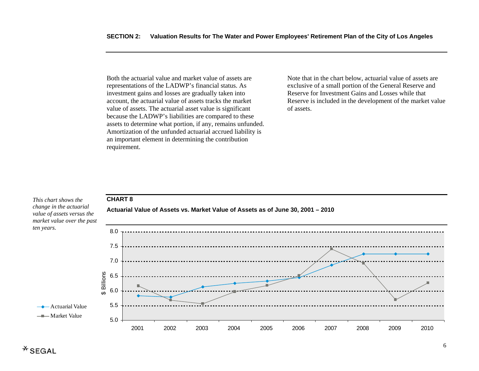Both the actuarial value and market value of assets are representations of the LADWP's financial status. As investment gains and losses are gradually taken into account, the actuarial value of assets tracks the market value of assets. The actuarial asset value is significant because the LADWP's liabilities are compared to these assets to determine what portion, if any, remains unfunded. Amortization of the unfunded actuarial accrued liability is an important element in determining the contribution requirement.

Note that in the chart below, actuarial value of assets are exclusive of a small portion of the General Reserve and Reserve for Investment Gains and Losses while that Reserve is included in the development of the market value of assets.

#### *This chart shows the change in the actuarial value of assets versus the market value over the past ten years.*

**CHART 8** 



**Actuarial Value of Assets vs. Market Value of Assets as of June 30, 2001 – 2010**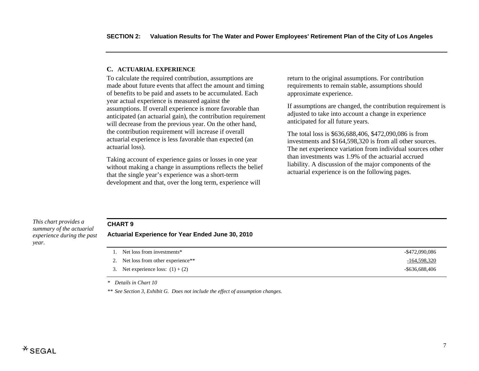#### **C. ACTUARIAL EXPERIENCE**

To calculate the required contribution, assumptions are made about future events that affect the amount and timing of benefits to be paid and assets to be accumulated. Each year actual experience is measured against the assumptions. If overall experience is more favorable than anticipated (an actuarial gain), the contribution requirement will decrease from the previous year. On the other hand, the contribution requirement will increase if overall actuarial experience is less favorable than expected (an actuarial loss).

Taking account of experience gains or losses in one year without making a change in assumptions reflects the belief that the single year's experience was a short-term development and that, over the long term, experience will

return to the original assumptions. For contribution requirements to remain stable, assumptions should approximate experience.

If assumptions are changed, the contribution requirement is adjusted to take into account a change in experience anticipated for all future years.

The total loss is \$636,688,406, \$472,090,086 is from investments and \$164,598,320 is from all other sources. The net experience variation from individual sources other than investments was 1.9% of the actuarial accrued liability. A discussion of the major components of the actuarial experience is on the following pages.

*This chart provides a summary of the actuarial experience during the past year.* 

# **CHART 9**

**Actuarial Experience for Year Ended June 30, 2010** 

| 1. Net loss from investments*       | -\$472,090,086    |
|-------------------------------------|-------------------|
| 2. Net loss from other experience** | -164,598,320      |
| 3. Net experience loss: $(1) + (2)$ | $-$ \$636,688,406 |

*\* Details in Chart 10* 

*\*\* See Section 3, Exhibit G. Does not include the effect of assumption changes.*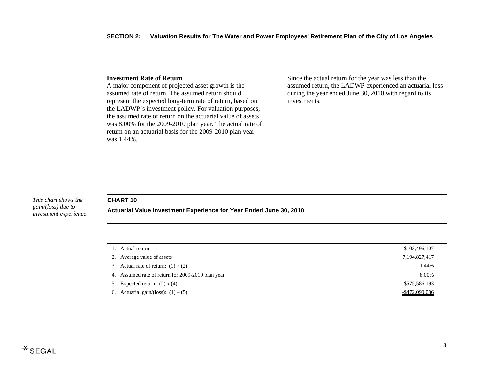#### **Investment Rate of Return**

A major component of projected asset growth is the assumed rate of return. The assumed return should represent the expected long-term rate of return, based on the LADWP's investment policy. For valuation purposes, the assumed rate of return on the actuarial value of assets was 8.00% for the 2009-2010 plan year. The actual rate of return on an actuarial basis for the 2009-2010 plan year was 1.44%.

Since the actual return for the year was less than the assumed return, the LADWP experienced an actuarial loss during the year ended June 30, 2010 with regard to its investments.

#### *This chart shows the gain/(loss) due to investment experience.*

#### **CHART 10**

**Actuarial Value Investment Experience for Year Ended June 30, 2010** 

| 1. Actual return                                  | \$103,496,107  |
|---------------------------------------------------|----------------|
| 2. Average value of assets                        | 7,194,827,417  |
| 3. Actual rate of return: $(1) \div (2)$          | 1.44%          |
| 4. Assumed rate of return for 2009-2010 plan year | 8.00%          |
| 5. Expected return: $(2)$ x $(4)$                 | \$575,586,193  |
| 6. Actuarial gain/(loss): $(1) - (5)$             | -\$472,090,086 |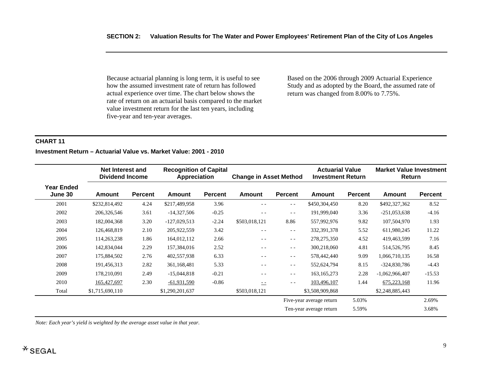Because actuarial planning is long term, it is useful to see how the assumed investment rate of return has followed actual experience over time. The chart below shows the rate of return on an actuarial basis compared to the market value investment return for the last ten years, including five-year and ten-year averages.

Based on the 2006 through 2009 Actuarial Experience Study and as adopted by the Board, the assumed rate of return was changed from 8.00% to 7.75%.

# **CHART 11**

# **Investment Return – Actuarial Value vs. Market Value: 2001 - 2010**

|                                     | Net Interest and<br><b>Dividend Income</b> |                | <b>Recognition of Capital</b><br><b>Appreciation</b> |                | <b>Change in Asset Method</b> |         | <b>Actuarial Value</b><br><b>Investment Return</b> |                | <b>Market Value Investment</b><br>Return |                |
|-------------------------------------|--------------------------------------------|----------------|------------------------------------------------------|----------------|-------------------------------|---------|----------------------------------------------------|----------------|------------------------------------------|----------------|
| <b>Year Ended</b><br><b>June 30</b> | Amount                                     | <b>Percent</b> | <b>Amount</b>                                        | <b>Percent</b> | <b>Amount</b>                 | Percent | Amount                                             | <b>Percent</b> | Amount                                   | <b>Percent</b> |
| 2001                                | \$232,814,492                              | 4.24           | \$217,489,958                                        | 3.96           | $ -$                          | $ -$    | \$450,304,450                                      | 8.20           | \$492,327,362                            | 8.52           |
| 2002                                | 206,326,546                                | 3.61           | $-14,327,506$                                        | $-0.25$        | $- -$                         | $ -$    | 191,999,040                                        | 3.36           | $-251,053,638$                           | $-4.16$        |
| 2003                                | 182,004,368                                | 3.20           | $-127,029,513$                                       | $-2.24$        | \$503,018,121                 | 8.86    | 557,992,976                                        | 9.82           | 107,504,970                              | 1.93           |
| 2004                                | 126,468,819                                | 2.10           | 205,922,559                                          | 3.42           | $- -$                         | $- -$   | 332, 391, 378                                      | 5.52           | 611,980,245                              | 11.22          |
| 2005                                | 114,263,238                                | 1.86           | 164,012,112                                          | 2.66           | $- -$                         | $ -$    | 278, 275, 350                                      | 4.52           | 419,463,599                              | 7.16           |
| 2006                                | 142,834,044                                | 2.29           | 157,384,016                                          | 2.52           | $- -$                         | $- -$   | 300,218,060                                        | 4.81           | 514,526,795                              | 8.45           |
| 2007                                | 175,884,502                                | 2.76           | 402,557,938                                          | 6.33           | $- -$                         | $- -$   | 578,442,440                                        | 9.09           | 1,066,710,135                            | 16.58          |
| 2008                                | 191,456,313                                | 2.82           | 361,168,481                                          | 5.33           | $- -$                         | $ -$    | 552,624,794                                        | 8.15           | $-324,830,786$                           | $-4.43$        |
| 2009                                | 178,210,091                                | 2.49           | $-15,044,818$                                        | $-0.21$        | $ -$                          | $- -$   | 163, 165, 273                                      | 2.28           | $-1,062,966,407$                         | $-15.53$       |
| 2010                                | 165,427,697                                | 2.30           | $-61,931,590$                                        | $-0.86$        | $- -$                         | $- -$   | 103,496,107                                        | 1.44           | 675,223,168                              | 11.96          |
| Total                               | \$1,715,690,110                            |                | \$1,290,201,637                                      |                | \$503,018,121                 |         | \$3,508,909,868                                    |                | \$2,248,885,443                          |                |
|                                     |                                            |                |                                                      |                |                               |         | Five-year average return                           | 5.03%          |                                          | 2.69%          |
|                                     |                                            |                |                                                      |                |                               |         | Ten-year average return                            | 5.59%          |                                          | 3.68%          |

*Note: Each year's yield is weighted by the average asset value in that year.*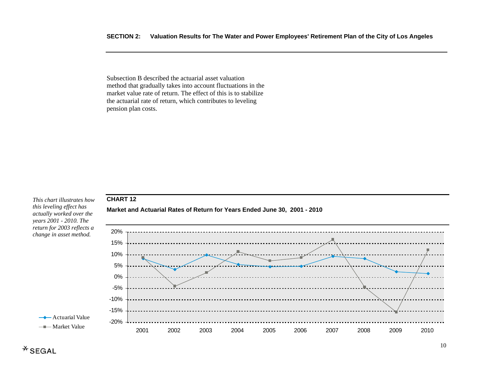Subsection B described the actuarial asset valuation method that gradually takes into account fluctuations in the market value rate of return. The effect of this is to stabilize the actuarial rate of return, which contributes to leveling pension plan costs.

**Market and Actuarial Rates of Return for Years Ended June 30, 2001 - 2010** 

#### *This chart illustrates how this leveling effect has actually worked over the years 2001 - 2010. The return for 2003 reflects a change in asset method.*

**CHART 12** 

**→** Actuarial Value -Market Value



# $*$ SEGAL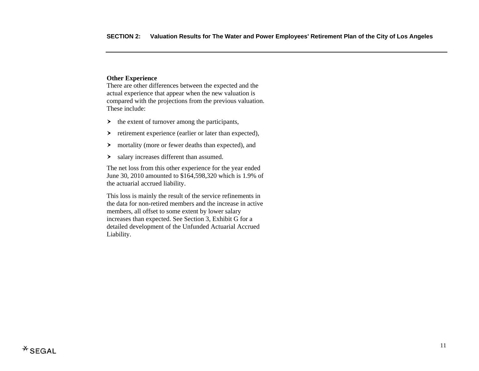# **Other Experience**

There are other differences between the expected and the actual experience that appear when the new valuation is compared with the projections from the previous valuation. These include:

- $\rightarrow$  the extent of turnover among the participants,
- $\blacktriangleright$ retirement experience (earlier or later than expected),
- $\blacktriangleright$ mortality (more or fewer deaths than expected), and
- $\blacktriangleright$ salary increases different than assumed.

The net loss from this other experience for the year ended June 30, 2010 amounted to \$164,598,320 which is 1.9% of the actuarial accrued liability.

This loss is mainly the result of the service refinements in the data for non-retired members and the increase in active members, all offset to some extent by lower salary increases than expected. See Section 3, Exhibit G for a detailed development of the Unfunded Actuarial Accrued Liability.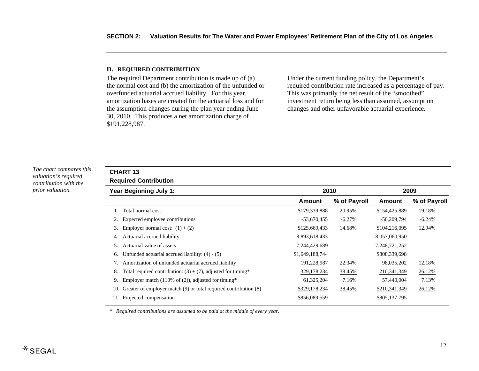#### **D. RE QUIRED CONTRIBUTION**

The required Department contribution is made up of (a) the normal cost and (b) the amortization of the unfunded or overfunded actuarial accrued liability. For this year, amortization bases are created for the actuarial loss and for the assumption changes during the plan year ending June 30, 2010. This produces a net amortization charge of \$191,228,987.

Under the current funding policy, the Department's required contribution rate increased as a percentage of pay. This was primarily the net result of the "smoothed" investment return being less than assumed, assumption changes and other unfavorable actuarial experience.

*The chart compares this valuation's required contribution with the prior valuation.* 

# **CHART 13**

|  | <b>Required Contribution</b> |
|--|------------------------------|
|--|------------------------------|

|     | Year Beginning July 1:                                           | 2010            |              | 2009          |              |
|-----|------------------------------------------------------------------|-----------------|--------------|---------------|--------------|
|     |                                                                  | Amount          | % of Payroll | Amount        | % of Payroll |
|     | Total normal cost                                                | \$179,339,888   | 20.95%       | \$154,425,889 | 19.18%       |
|     | Expected employee contributions                                  | $-53,670,455$   | $-6.27%$     | $-50,209,794$ | $-6.24%$     |
| 3.  | Employer normal cost: $(1) + (2)$                                | \$125,669,433   | 14.68%       | \$104,216,095 | 12.94%       |
| 4.  | Actuarial accrued liability                                      | 8,893,618,433   |              | 8,057,060,950 |              |
| 5.  | Actuarial value of assets                                        | 7,244,429,689   |              | 7,248,721,252 |              |
| 6.  | Unfunded actuarial accrued liability: $(4) - (5)$                | \$1,649,188,744 |              | \$808,339,698 |              |
| 7.  | Amortization of unfunded actuarial accrued liability             | 191,228,987     | 22.34%       | 98,035,202    | 12.18%       |
| 8.  | Total required contribution: $(3) + (7)$ , adjusted for timing*  | 329,178,234     | 38.45%       | 210,341,349   | 26.12%       |
| 9.  | Employer match (110% of $(2)$ ), adjusted for timing*            | 61,325,204      | 7.16%        | 57,440,004    | 7.13%        |
| 10. | Greater of employer match (9) or total required contribution (8) | \$329,178,234   | 38.45%       | \$210,341,349 | 26.12%       |
| 11. | Projected compensation                                           | \$856,089,559   |              | \$805,137,795 |              |

*\* Required contributions are assumed to be paid at the middle of every year.*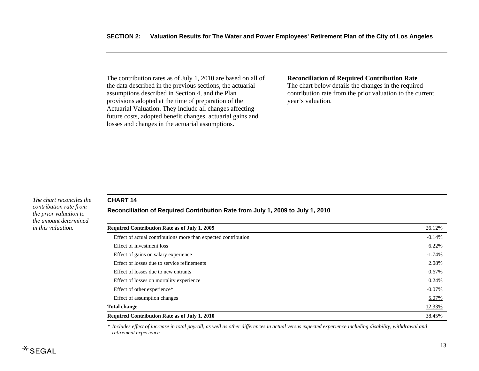The contribution rates as of July 1, 2010 are based on all of the data described in the previous sections, the actuarial assumptions described in Section 4, and the Plan provisions adopted at the time of preparation of the Actuarial Valuation. They include all changes affecting future costs, adopted benefit changes, actuarial gains and losses and changes in the actuarial assumptions.

#### **Reconciliation of Required Contribution Rate**

The chart below details the changes in the required contribution rate from the prior valuation to the current year's valuation.

#### *The chart reconciles the contribution rate from the prior valuation to the amount determined in this valuation.*

## **CHART 14**

# **Reconciliation of Required Contribution Rate from July 1, 2009 to July 1, 2010**

| <b>Required Contribution Rate as of July 1, 2009</b>           | 26.12%    |  |
|----------------------------------------------------------------|-----------|--|
| Effect of actual contributions more than expected contribution | $-0.14%$  |  |
| Effect of investment loss                                      | 6.22%     |  |
| Effect of gains on salary experience                           | $-1.74%$  |  |
| Effect of losses due to service refinements                    | 2.08%     |  |
| Effect of losses due to new entrants                           | 0.67%     |  |
| Effect of losses on mortality experience                       | 0.24%     |  |
| Effect of other experience*                                    | $-0.07\%$ |  |
| Effect of assumption changes                                   | 5.07%     |  |
| <b>Total change</b>                                            | 12.33%    |  |
| <b>Required Contribution Rate as of July 1, 2010</b>           |           |  |

*\* Includes effect of increase in total payroll, as well as other differences in actual versus expected experience including disability, withdrawal and retirement experience*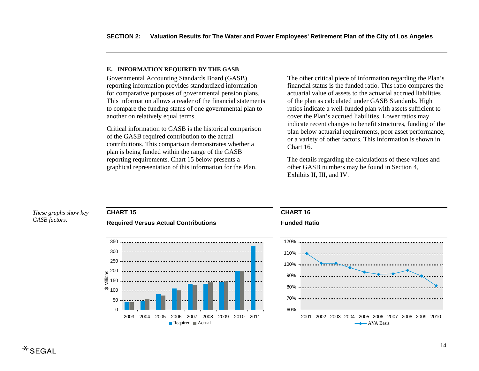#### **E. INFORMATION REQUI RED BY THE GASB**

Governmental Accounting Standards Board (GASB) reporting information provides standardized information for comparative purposes of governmental pension plans. This information allows a reader of the financial statements to compare the funding status of one governmental plan to another on relatively equal terms.

Critical information to GASB is the historical comparison of the GASB required contribution to the actual contributions. This comparison demonstrates whether a plan is being funded within the range of the GASB reporting requirements. Chart 15 below presents a graphical representation of this information for the Plan.

The other critical piece of information regarding the Plan's financial status is the funded ratio. This ratio compares the actuarial value of assets to the actuarial accrued liabilities of the plan as calculated under GASB Standards. High ratios indicate a well-funded plan with assets sufficient to cover the Plan's accrued liabilities. Lower ratios may indicate recent changes to benefit structures, funding of the plan below actuarial requirements, poor asset performance, or a variety of other factors. This information is shown in Chart 16.

The details regarding the calculations of these values and other GASB numbers may be found in Section 4, Exhibits II, III, and IV.

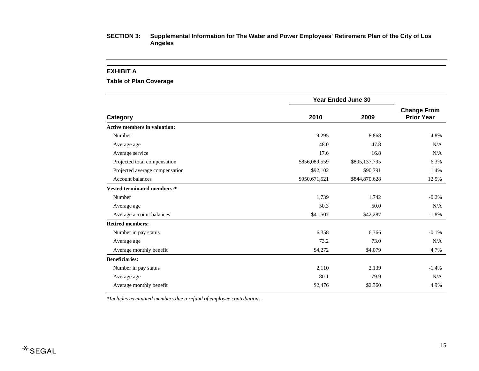#### **EXHIBIT A**

**Table of Plan Coverage** 

| <b>Year Ended June 30</b> |               |                                         |
|---------------------------|---------------|-----------------------------------------|
| 2010                      | 2009          | <b>Change From</b><br><b>Prior Year</b> |
|                           |               |                                         |
| 9,295                     | 8,868         | 4.8%                                    |
| 48.0                      | 47.8          | N/A                                     |
| 17.6                      | 16.8          | N/A                                     |
| \$856,089,559             | \$805,137,795 | 6.3%                                    |
| \$92,102                  | \$90,791      | 1.4%                                    |
| \$950,671,521             | \$844,870,628 | 12.5%                                   |
|                           |               |                                         |
| 1,739                     | 1,742         | $-0.2%$                                 |
| 50.3                      | 50.0          | N/A                                     |
| \$41,507                  | \$42,287      | $-1.8%$                                 |
|                           |               |                                         |
| 6,358                     | 6,366         | $-0.1%$                                 |
| 73.2                      | 73.0          | N/A                                     |
| \$4,272                   | \$4,079       | 4.7%                                    |
|                           |               |                                         |
| 2,110                     | 2,139         | $-1.4%$                                 |
| 80.1                      | 79.9          | N/A                                     |
| \$2,476                   | \$2,360       | 4.9%                                    |
|                           |               |                                         |

*\*Includes terminated members due a refund of employee contributions.*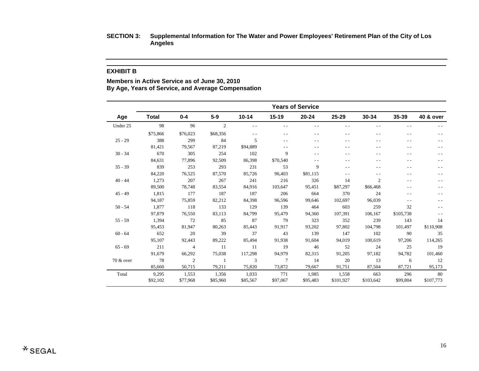#### **EXHIBIT B**

**Members in Active Service as of June 30, 2010 By Age, Years of Service, and Average Compensation** 

|           | <b>Years of Service</b> |                |                |           |                |           |           |                |           |           |
|-----------|-------------------------|----------------|----------------|-----------|----------------|-----------|-----------|----------------|-----------|-----------|
| Age       | <b>Total</b>            | $0 - 4$        | $5-9$          | $10 - 14$ | $15 - 19$      | $20 - 24$ | 25-29     | $30 - 34$      | 35-39     | 40 & over |
| Under 25  | 98                      | 96             | $\overline{2}$ | $ -$      | $\sim$ $\sim$  |           |           | $ -$           | $ -$      |           |
|           | \$75,866                | \$76,023       | \$68,356       |           | - -            |           |           |                | . .       |           |
| $25 - 29$ | 388                     | 299            | 84             | 5         | - -            |           |           |                |           |           |
|           | 81,421                  | 79,567         | 87,219         | \$94,889  | $ -$           |           |           |                |           |           |
| $30 - 34$ | 670                     | 305            | 254            | 102       | 9              | - -       |           |                | . .       |           |
|           | 84,631                  | 77,896         | 92,509         | 86,398    | \$70,540       |           |           |                | - -       |           |
| $35 - 39$ | 839                     | 253            | 293            | 231       | 53             | 9         |           |                | $ -$      |           |
|           | 84,220                  | 76,525         | 87,570         | 85,726    | 96,403         | \$81,115  | $ -$      |                | $ -$      |           |
| $40 - 44$ | 1,273                   | 207            | 267            | 241       | 216            | 326       | 14        | $\mathfrak{2}$ | - -       |           |
|           | 89,500                  | 78,748         | 83,554         | 84.916    | 103,647        | 95,451    | \$87,297  | \$66,468       | $ -$      |           |
| $45 - 49$ | 1,815                   | 177            | 187            | 187       | 206            | 664       | 370       | 24             | $ -$      |           |
|           | 94,187                  | 75,859         | 82,212         | 84,398    | 96,596         | 99,646    | 102,697   | 96,039         | $ -$      |           |
| $50 - 54$ | 1,877                   | 118            | 133            | 129       | 139            | 464       | 603       | 259            | 32        |           |
|           | 97,879                  | 76,550         | 83,113         | 84,799    | 95,479         | 94,360    | 107,391   | 106,167        | \$105,738 |           |
| $55 - 59$ | 1,394                   | 72             | 85             | 87        | 79             | 323       | 352       | 239            | 143       | 14        |
|           | 95,453                  | 81,947         | 80,263         | 85,443    | 91,917         | 93,202    | 97,802    | 104,798        | 101,497   | \$110,908 |
| $60 - 64$ | 652                     | 20             | 39             | 37        | 43             | 139       | 147       | 102            | 90        | 35        |
|           | 95,107                  | 92,443         | 89,222         | 85,494    | 91,938         | 91,604    | 94,019    | 100,619        | 97,206    | 114,265   |
| $65 - 69$ | 211                     | $\overline{4}$ | 11             | 11        | 19             | 46        | 52        | 24             | 25        | 19        |
|           | 91,679                  | 66,292         | 75,038         | 117,298   | 94,979         | 82,315    | 91,205    | 97,182         | 94,782    | 101,460   |
| 70 & over | 78                      | $\mathfrak{2}$ | $\overline{1}$ | 3         | $\overline{7}$ | 14        | 20        | 13             | 6         | 12        |
|           | 85,660                  | 50,715         | 79,211         | 75,820    | 73,872         | 79,667    | 91,751    | 87,504         | 87,721    | 95,173    |
| Total     | 9,295                   | 1,553          | 1,356          | 1,033     | 771            | 1,985     | 1,558     | 663            | 296       | 80        |
|           | \$92,102                | \$77,968       | \$85,960       | \$85,567  | \$97,067       | \$95,483  | \$101,927 | \$103,642      | \$99,804  | \$107,773 |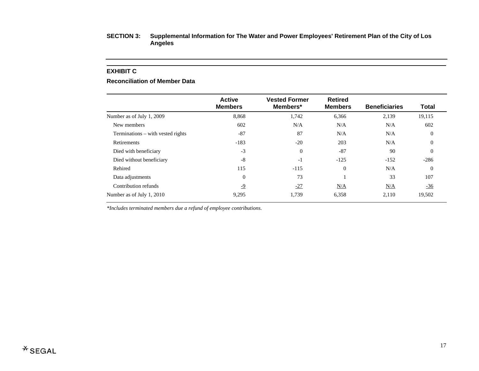#### **EXHIBIT C**

#### **Reconciliation of Member Data**

|                                   | <b>Active</b><br><b>Members</b> | <b>Vested Former</b><br>Members* | <b>Retired</b><br><b>Members</b> | <b>Beneficiaries</b> | <b>Total</b>   |
|-----------------------------------|---------------------------------|----------------------------------|----------------------------------|----------------------|----------------|
| Number as of July 1, 2009         | 8,868                           | 1,742                            | 6,366                            | 2,139                | 19,115         |
| New members                       | 602                             | N/A                              | N/A                              | N/A                  | 602            |
| Terminations – with vested rights | $-87$                           | 87                               | N/A                              | N/A                  | $\overline{0}$ |
| Retirements                       | $-183$                          | $-20$                            | 203                              | N/A                  | $\Omega$       |
| Died with beneficiary             | $-3$                            | $\mathbf{0}$                     | $-87$                            | 90                   | $\Omega$       |
| Died without beneficiary          | $-8$                            | $-1$                             | $-125$                           | $-152$               | $-286$         |
| Rehired                           | 115                             | $-115$                           | $\overline{0}$                   | N/A                  | $\Omega$       |
| Data adjustments                  | $\overline{0}$                  | 73                               |                                  | 33                   | 107            |
| Contribution refunds              | $-9$                            | $-27$                            | N/A                              | N/A                  | $-36$          |
| Number as of July 1, 2010         | 9,295                           | 1,739                            | 6,358                            | 2,110                | 19,502         |

*\*Includes terminated members due a refund of employee contributions.*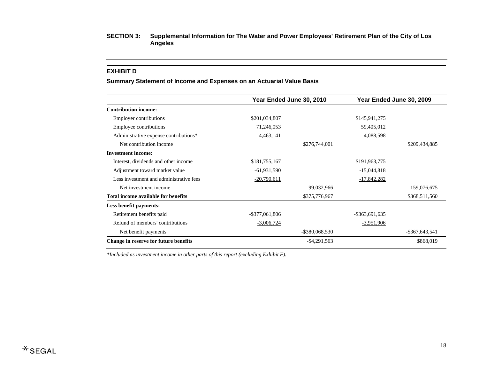#### **EXHIBIT D**

#### **Summary Statement of Income and Expenses on an Actuarial Value Basis**

|                                         |                   | Year Ended June 30, 2010 |                   | Year Ended June 30, 2009 |
|-----------------------------------------|-------------------|--------------------------|-------------------|--------------------------|
| <b>Contribution income:</b>             |                   |                          |                   |                          |
| Employer contributions                  | \$201,034,807     |                          | \$145,941,275     |                          |
| Employee contributions                  | 71,246,053        |                          | 59,405,012        |                          |
| Administrative expense contributions*   | 4,463,141         |                          | 4,088,598         |                          |
| Net contribution income                 |                   | \$276,744,001            |                   | \$209,434,885            |
| <b>Investment income:</b>               |                   |                          |                   |                          |
| Interest, dividends and other income    | \$181,755,167     |                          | \$191,963,775     |                          |
| Adjustment toward market value          | $-61,931,590$     |                          | $-15,044,818$     |                          |
| Less investment and administrative fees | $-20,790,611$     |                          | $-17,842,282$     |                          |
| Net investment income                   |                   | 99,032,966               |                   | 159,076,675              |
| Total income available for benefits     |                   | \$375,776,967            |                   | \$368,511,560            |
| Less benefit payments:                  |                   |                          |                   |                          |
| Retirement benefits paid                | $-$ \$377,061,806 |                          | $-$ \$363,691,635 |                          |
| Refund of members' contributions        | $-3,006,724$      |                          | $-3,951,906$      |                          |
| Net benefit payments                    |                   | $-$ \$380,068,530        |                   | $-$ \$367,643,541        |
| Change in reserve for future benefits   |                   | $-$ \$4,291,563          |                   | \$868,019                |

*\*Included as investment income in other parts of this report (excluding Exhibit F).*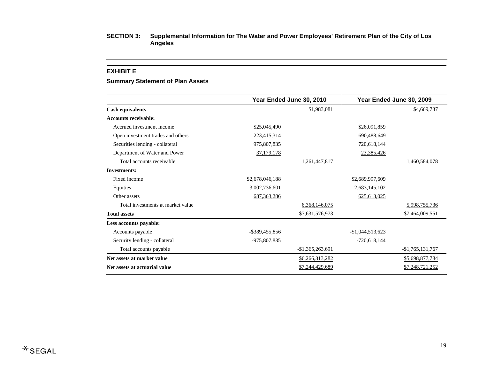#### **EXHIBIT E**

#### **Summary Statement of Plan Assets**

|                                   |                 | Year Ended June 30, 2010 |                   | Year Ended June 30, 2009 |
|-----------------------------------|-----------------|--------------------------|-------------------|--------------------------|
| <b>Cash equivalents</b>           |                 | \$1,983,081              |                   | \$4,669,737              |
| <b>Accounts receivable:</b>       |                 |                          |                   |                          |
| Accrued investment income         | \$25,045,490    |                          | \$26,091,859      |                          |
| Open investment trades and others | 223,415,314     |                          | 690,488,649       |                          |
| Securities lending - collateral   | 975,807,835     |                          | 720,618,144       |                          |
| Department of Water and Power     | 37,179,178      |                          | 23,385,426        |                          |
| Total accounts receivable         |                 | 1,261,447,817            |                   | 1,460,584,078            |
| <b>Investments:</b>               |                 |                          |                   |                          |
| Fixed income                      | \$2,678,046,188 |                          | \$2,689,997,609   |                          |
| Equities                          | 3,002,736,601   |                          | 2,683,145,102     |                          |
| Other assets                      | 687, 363, 286   |                          | 625, 613, 025     |                          |
| Total investments at market value |                 | 6,368,146,075            |                   | 5,998,755,736            |
| <b>Total assets</b>               |                 | \$7,631,576,973          |                   | \$7,464,009,551          |
| Less accounts payable:            |                 |                          |                   |                          |
| Accounts payable                  | -\$389,455,856  |                          | $-$1,044,513,623$ |                          |
| Security lending - collateral     | -975,807,835    |                          | $-720,618,144$    |                          |
| Total accounts payable            |                 | $-$1,365,263,691$        |                   | $-$1,765,131,767$        |
| Net assets at market value        |                 | \$6,266,313,282          |                   | \$5,698,877,784          |
| Net assets at actuarial value     |                 | \$7,244,429,689          |                   | \$7,248,721,252          |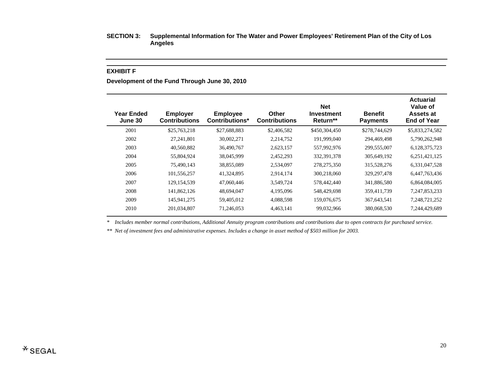#### **EXHIBIT F**

**Development of the Fund Through June 30, 2010** 

| <b>Year Ended</b><br>June 30 | <b>Employer</b><br><b>Contributions</b> | <b>Employee</b><br><b>Contributions*</b> | <b>Other</b><br><b>Contributions</b> | <b>Net</b><br><b>Investment</b><br>Return** | <b>Benefit</b><br><b>Payments</b> | <b>Actuarial</b><br>Value of<br>Assets at<br><b>End of Year</b> |
|------------------------------|-----------------------------------------|------------------------------------------|--------------------------------------|---------------------------------------------|-----------------------------------|-----------------------------------------------------------------|
| 2001                         | \$25,763,218                            | \$27,688,883                             | \$2,406,582                          | \$450,304,450                               | \$278,744,629                     | \$5,833,274,582                                                 |
| 2002                         | 27, 241, 801                            | 30,002,271                               | 2,214,752                            | 191,999,040                                 | 294,469,498                       | 5,790,262,948                                                   |
| 2003                         | 40,560,882                              | 36,490,767                               | 2,623,157                            | 557,992,976                                 | 299,555,007                       | 6,128,375,723                                                   |
| 2004                         | 55,804,924                              | 38,045,999                               | 2,452,293                            | 332, 391, 378                               | 305,649,192                       | 6,251,421,125                                                   |
| 2005                         | 75,490,143                              | 38,855,089                               | 2,534,097                            | 278, 275, 350                               | 315,528,276                       | 6,331,047,528                                                   |
| 2006                         | 101,556,257                             | 41,324,895                               | 2,914,174                            | 300,218,060                                 | 329, 297, 478                     | 6,447,763,436                                                   |
| 2007                         | 129, 154, 539                           | 47,060,446                               | 3,549,724                            | 578,442,440                                 | 341,886,580                       | 6,864,084,005                                                   |
| 2008                         | 141,862,126                             | 48,694,047                               | 4,195,096                            | 548,429,698                                 | 359,411,739                       | 7, 247, 853, 233                                                |
| 2009                         | 145,941,275                             | 59,405,012                               | 4,088,598                            | 159,076,675                                 | 367, 643, 541                     | 7,248,721,252                                                   |
| 2010                         | 201,034,807                             | 71,246,053                               | 4,463,141                            | 99,032,966                                  | 380,068,530                       | 7,244,429,689                                                   |
|                              |                                         |                                          |                                      |                                             |                                   |                                                                 |

*\* Includes member normal contributions, Additional Annuity program contributions and contributions due to open contracts for purchased service.* 

*\*\* Net of investment fees and administrative expenses. Includes a change in asset method of \$503 million for 2003.*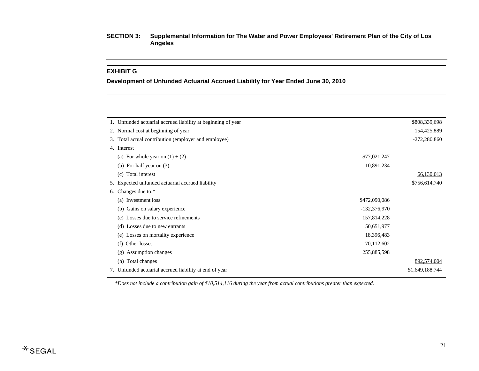#### **EXHIBIT G**

**Development of Unfunded Actuarial Accrued Liability for Year Ended June 30, 2010** 

|                | \$808,339,698   |
|----------------|-----------------|
|                | 154,425,889     |
|                | $-272,280,860$  |
|                |                 |
| \$77,021,247   |                 |
| $-10,891,234$  |                 |
|                | 66,130,013      |
|                | \$756,614,740   |
|                |                 |
| \$472,090,086  |                 |
| $-132,376,970$ |                 |
| 157,814,228    |                 |
| 50,651,977     |                 |
| 18,396,483     |                 |
| 70,112,602     |                 |
| 255,885,598    |                 |
|                | 892,574,004     |
|                | \$1,649,188,744 |
|                |                 |

*\*Does not include a contribution gain of \$10,514,116 during the year from actual contributions greater than expected.*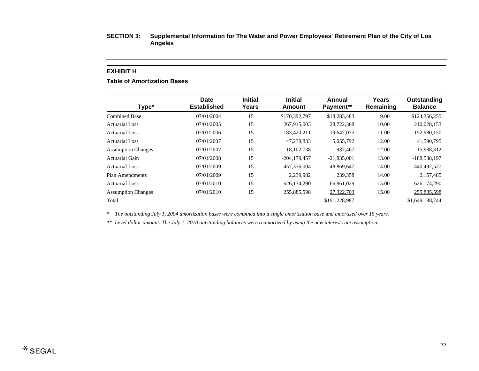#### **EXHIBIT H**

### **Table of Amortization Bases**

| <b>Date</b><br><b>Established</b> | <b>Initial</b><br>Years | <b>Initial</b><br>Amount | Annual<br>Payment** | Years<br>Remaining | Outstanding<br><b>Balance</b> |
|-----------------------------------|-------------------------|--------------------------|---------------------|--------------------|-------------------------------|
| 07/01/2004                        | 15                      | \$170,392,797            | \$18,283,483        | 9.00               | \$124,356,255                 |
| 07/01/2005                        | 15                      | 267,915,003              | 28,722,368          | 10.00              | 210,028,153                   |
| 07/01/2006                        | 15                      | 183,420,211              | 19,647,075          | 11.00              | 152,980,150                   |
| 07/01/2007                        | 15                      | 47,238,833               | 5,055,792           | 12.00              | 41,590,795                    |
| 07/01/2007                        | 15                      | $-18,102,738$            | $-1,937,467$        | 12.00              | $-15,938,312$                 |
| 07/01/2008                        | 15                      | $-204, 179, 457$         | $-21,835,001$       | 13.00              | -188,538,197                  |
| 07/01/2009                        | 15                      | 457,336,004              | 48,869,647          | 14.00              | 440,492,527                   |
| 07/01/2009                        | 15                      | 2.239.982                | 239,358             | 14.00              | 2.157.485                     |
| 07/01/2010                        | 15                      | 626,174,290              | 66.861.029          | 15.00              | 626,174,290                   |
| 07/01/2010                        | 15                      | 255,885,598              | 27,322,703          | 15.00              | 255,885,598                   |
|                                   |                         |                          | \$191,228,987       |                    | \$1,649,188,744               |
|                                   |                         |                          |                     |                    |                               |

*\* The outstanding July 1, 2004 amortization bases were combined into a single amortization base and amortized over 15 years.* 

*\*\* Level dollar amount. The July 1, 2010 outstanding balances were reamortized by using the new interest rate assumption.*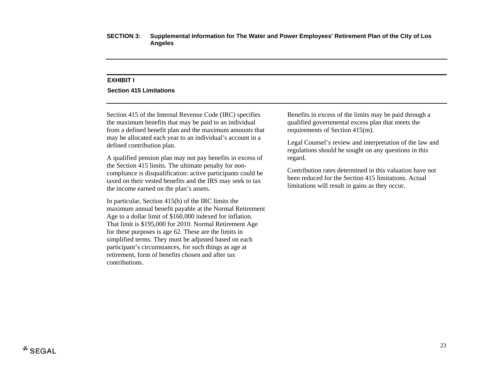#### **EXHIBIT I**

#### **Section 415 Limitations**

Section 415 of the Internal Revenue Code (IRC) specifies the maximum benefits that may be paid to an individual from a defined benefit plan and the maximum amounts that may be allocated each year to an individual's account in a defined contribution plan.

A qualified pension plan may not pay benefits in excess of the Section 415 limits. The ultimate penalty for noncompliance is disqualification: active participants could be taxed on their vested benefits and the IRS may seek to tax the income earned on the plan's assets.

In particular, Section 415(b) of the IRC limits the maximum annual benefit payable at the Normal Retirement Age to a dollar limit of \$160,000 indexed for inflation. That limit is \$195,000 for 2010. Normal Retirement Age for these purposes is age 62. These are the limits in simplified terms. They must be adjusted based on each participant's circumstances, for such things as age at retirement, form of benefits chosen and after tax contributions.

Benefits in excess of the limits may be paid through a qualified governmental excess plan that meets the requirements of Section 415(m).

Legal Counsel's review and interpretation of the law and regulations should be sought on any questions in this regard.

Contribution rates determined in this valuation have not been reduced for the Section 415 limitations. Actual limitations will result in gains as they occur.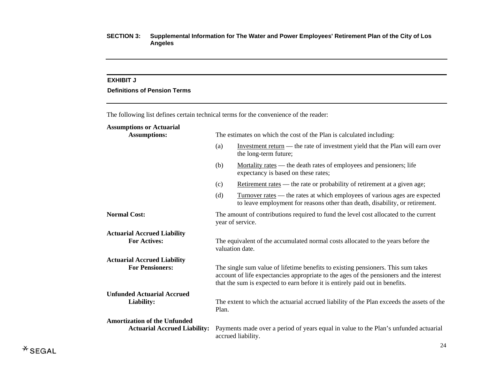#### **EXHIBIT J**

# **Definitions of Pension Terms**

The following list defines certain technical terms for the convenience of the reader:

# **Assumptions or Actuarial**

| <b>Assumptions:</b>                 | The estimates on which the cost of the Plan is calculated including:                                                                                                                                                                                        |                                                                                                                                                                   |  |  |  |
|-------------------------------------|-------------------------------------------------------------------------------------------------------------------------------------------------------------------------------------------------------------------------------------------------------------|-------------------------------------------------------------------------------------------------------------------------------------------------------------------|--|--|--|
|                                     | (a)                                                                                                                                                                                                                                                         | Investment return — the rate of investment yield that the Plan will earn over<br>the long-term future;                                                            |  |  |  |
|                                     | (b)                                                                                                                                                                                                                                                         | <u>Mortality rates</u> — the death rates of employees and pensioners; life<br>expectancy is based on these rates;                                                 |  |  |  |
|                                     | (c)                                                                                                                                                                                                                                                         | Retirement rates — the rate or probability of retirement at a given age;                                                                                          |  |  |  |
|                                     | (d)                                                                                                                                                                                                                                                         | <u>Turnover rates</u> — the rates at which employees of various ages are expected<br>to leave employment for reasons other than death, disability, or retirement. |  |  |  |
| <b>Normal Cost:</b>                 | The amount of contributions required to fund the level cost allocated to the current<br>year of service.                                                                                                                                                    |                                                                                                                                                                   |  |  |  |
| <b>Actuarial Accrued Liability</b>  |                                                                                                                                                                                                                                                             |                                                                                                                                                                   |  |  |  |
| <b>For Actives:</b>                 | The equivalent of the accumulated normal costs allocated to the years before the<br>valuation date.                                                                                                                                                         |                                                                                                                                                                   |  |  |  |
| <b>Actuarial Accrued Liability</b>  |                                                                                                                                                                                                                                                             |                                                                                                                                                                   |  |  |  |
| <b>For Pensioners:</b>              | The single sum value of lifetime benefits to existing pensioners. This sum takes<br>account of life expectancies appropriate to the ages of the pensioners and the interest<br>that the sum is expected to earn before it is entirely paid out in benefits. |                                                                                                                                                                   |  |  |  |
| <b>Unfunded Actuarial Accrued</b>   |                                                                                                                                                                                                                                                             |                                                                                                                                                                   |  |  |  |
| Liability:                          | Plan.                                                                                                                                                                                                                                                       | The extent to which the actuarial accrued liability of the Plan exceeds the assets of the                                                                         |  |  |  |
| <b>Amortization of the Unfunded</b> |                                                                                                                                                                                                                                                             |                                                                                                                                                                   |  |  |  |
| <b>Actuarial Accrued Liability:</b> |                                                                                                                                                                                                                                                             | Payments made over a period of years equal in value to the Plan's unfunded actuarial<br>accrued liability.                                                        |  |  |  |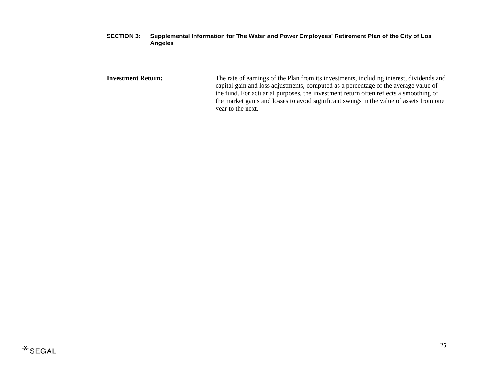**Investment Return:** The rate of earnings of the Plan from its investments, including interest, dividends and capital gain and loss adjustments, computed as a percentage of the average value of the fund. For actuarial purposes, the investment return often reflects a smoothing of the market gains and losses to avoid significant swings in the value of assets from one year to the next.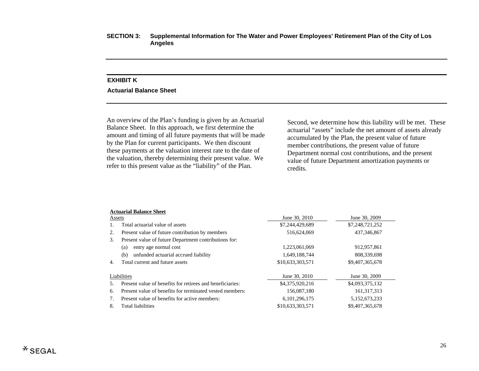# **EXHIBIT K Actuarial Balance Sheet**

An overview of the Plan's funding is given by an Actuarial Balance Sheet. In this approach, we first determine the amount and timing of all future payments that will be made by the Plan for current participants. We then discount these payments at the valuation interest rate to the date of the valuation, thereby determining their present value. We refer to this present value as the "liability" of the Plan.

Second, we determine how this liability will be met. These actuarial "assets" include the net amount of assets already accumulated by the Plan, the present value of future member contributions, the present value of future Department normal cost contributions, and the present value of future Department amortization payments or credits.

#### **Actuarial Balance Sheet**

| Assets |                                                           | June 30, 2010    | June 30, 2009   |  |  |  |  |  |
|--------|-----------------------------------------------------------|------------------|-----------------|--|--|--|--|--|
|        | Total actuarial value of assets                           | \$7,244,429,689  | \$7,248,721,252 |  |  |  |  |  |
| 2.     | Present value of future contribution by members           | 516,624,069      | 437, 346, 867   |  |  |  |  |  |
| 3.     | Present value of future Department contributions for:     |                  |                 |  |  |  |  |  |
|        | entry age normal cost<br>(a)                              | 1,223,061,069    | 912,957,861     |  |  |  |  |  |
|        | unfunded actuarial accrued liability<br>(b)               | 1,649,188,744    | 808,339,698     |  |  |  |  |  |
| 4.     | Total current and future assets                           | \$10,633,303,571 | \$9,407,365,678 |  |  |  |  |  |
|        | Liabilities                                               | June 30, 2010    | June 30, 2009   |  |  |  |  |  |
|        | Present value of benefits for retirees and beneficiaries: | \$4,375,920,216  | \$4,093,375,132 |  |  |  |  |  |
| 6.     | Present value of benefits for terminated vested members:  | 156,087,180      | 161, 317, 313   |  |  |  |  |  |
| 7.     | Present value of benefits for active members:             | 6, 101, 296, 175 | 5,152,673,233   |  |  |  |  |  |
| 8.     | <b>Total liabilities</b>                                  | \$10,633,303,571 | \$9,407,365,678 |  |  |  |  |  |
|        |                                                           |                  |                 |  |  |  |  |  |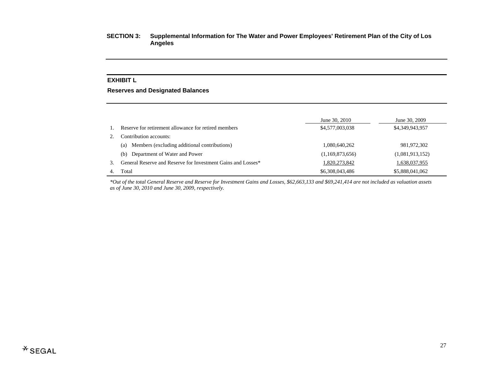# **EXHIBIT L**

#### **Reserves and Designated Balances**

|    |                                                              | June 30, 2010   | June 30, 2009   |
|----|--------------------------------------------------------------|-----------------|-----------------|
|    | Reserve for retirement allowance for retired members         | \$4,577,003,038 | \$4,349,943,957 |
|    | Contribution accounts:                                       |                 |                 |
|    | Members (excluding additional contributions)<br>(a)          | 1,080,640,262   | 981,972,302     |
|    | Department of Water and Power<br>(b)                         | (1,169,873,656) | (1,081,913,152) |
| 3. | General Reserve and Reserve for Investment Gains and Losses* | 1,820,273,842   | 1,638,037,955   |
|    | Total                                                        | \$6,308,043,486 | \$5,888,041,062 |

*\*Out of the total General Reserve and Reserve for Investment Gains and Losses, \$62,663,133 and \$69,241,414 are not included as valuation assets as of June 30, 2010 and June 30, 2009, respectively.*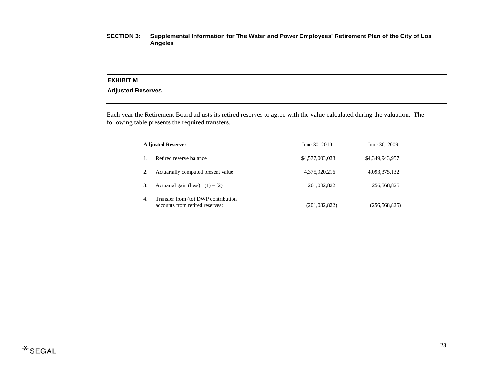#### **EXHIBIT M**

# **Adjusted Reserves**

Each year the Retirement Board adjusts its retired reserves to agree with the value calculated during the valuation. The following table presents the required transfers.

|    | <b>Adjusted Reserves</b>                                               | June 30, 2010   | June 30, 2009   |
|----|------------------------------------------------------------------------|-----------------|-----------------|
|    | Retired reserve balance                                                | \$4,577,003,038 | \$4,349,943,957 |
|    | Actuarially computed present value                                     | 4,375,920,216   | 4,093,375,132   |
| 3. | Actuarial gain (loss): $(1) - (2)$                                     | 201,082,822     | 256,568,825     |
| 4. | Transfer from (to) DWP contribution<br>accounts from retired reserves: | (201, 082, 822) | (256, 568, 825) |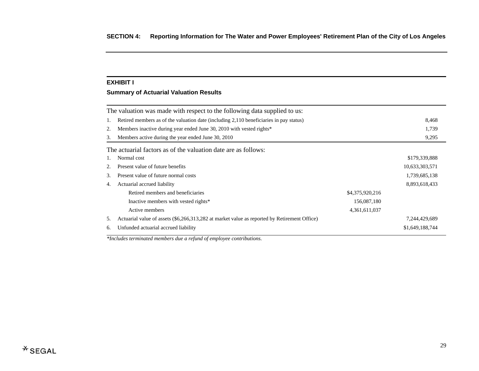#### **EXHIBIT I**

# **Summary of Actuarial Valuation Results**

|    | The valuation was made with respect to the following data supplied to us:                    |                 |                 |  |  |
|----|----------------------------------------------------------------------------------------------|-----------------|-----------------|--|--|
| 1. | Retired members as of the valuation date (including 2,110 beneficiaries in pay status)       |                 |                 |  |  |
| 2. | Members inactive during year ended June 30, 2010 with vested rights*                         |                 | 1,739           |  |  |
| 3. | Members active during the year ended June 30, 2010                                           |                 | 9,295           |  |  |
|    | The actuarial factors as of the valuation date are as follows:                               |                 |                 |  |  |
| 1. | Normal cost                                                                                  |                 | \$179,339,888   |  |  |
| 2. | Present value of future benefits                                                             |                 | 10,633,303,571  |  |  |
| 3. | Present value of future normal costs                                                         |                 | 1,739,685,138   |  |  |
| 4. | Actuarial accrued liability                                                                  |                 | 8,893,618,433   |  |  |
|    | Retired members and beneficiaries                                                            | \$4,375,920,216 |                 |  |  |
|    | Inactive members with vested rights*                                                         | 156,087,180     |                 |  |  |
|    | Active members                                                                               | 4,361,611,037   |                 |  |  |
| 5. | Actuarial value of assets (\$6,266,313,282 at market value as reported by Retirement Office) |                 | 7,244,429,689   |  |  |
| 6. | Unfunded actuarial accrued liability                                                         |                 | \$1,649,188,744 |  |  |

*\*Includes terminated members due a refund of employee contributions.*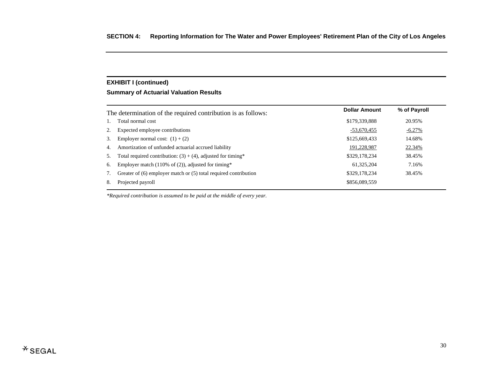# **EXHIBIT I (continued)**

# **Summary of Actuarial Valuation Results**

|    | The determination of the required contribution is as follows:    | <b>Dollar Amount</b> | % of Payroll |
|----|------------------------------------------------------------------|----------------------|--------------|
| 1. | Total normal cost                                                | \$179,339,888        | 20.95%       |
| 2. | Expected employee contributions                                  | $-53,670,455$        | $-6.27%$     |
| 3. | Employer normal cost: $(1) + (2)$                                | \$125,669,433        | 14.68%       |
| 4. | Amortization of unfunded actuarial accrued liability             | 191,228,987          | 22.34%       |
| 5. | Total required contribution: $(3) + (4)$ , adjusted for timing*  | \$329,178,234        | 38.45%       |
| 6. | Employer match (110% of $(2)$ ), adjusted for timing*            | 61,325,204           | 7.16%        |
| 7. | Greater of (6) employer match or (5) total required contribution | \$329,178,234        | 38.45%       |
| 8. | Projected payroll                                                | \$856,089,559        |              |
|    |                                                                  |                      |              |

*\*Required contribution is assumed to be paid at the middle of every year.*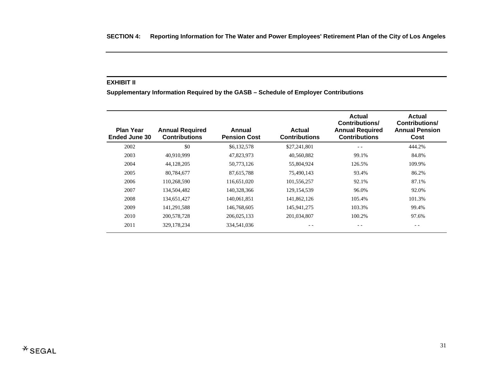#### **EXHIBIT II**

**Supplementary Information Required by the GASB – Schedule of Employer Contributions** 

| <b>Plan Year</b><br><b>Ended June 30</b> | <b>Annual Required</b><br><b>Contributions</b> | Annual<br><b>Pension Cost</b> | <b>Actual</b><br><b>Contributions</b> | <b>Actual</b><br><b>Contributions/</b><br><b>Annual Required</b><br><b>Contributions</b> | <b>Actual</b><br>Contributions/<br><b>Annual Pension</b><br>Cost |
|------------------------------------------|------------------------------------------------|-------------------------------|---------------------------------------|------------------------------------------------------------------------------------------|------------------------------------------------------------------|
| 2002                                     | \$0                                            | \$6,132,578                   | \$27,241,801                          | $ -$                                                                                     | 444.2%                                                           |
| 2003                                     | 40,910,999                                     | 47,823,973                    | 40,560,882                            | 99.1%                                                                                    | 84.8%                                                            |
| 2004                                     | 44,128,205                                     | 50,773,126                    | 55,804,924                            | 126.5%                                                                                   | 109.9%                                                           |
| 2005                                     | 80,784,677                                     | 87,615,788                    | 75,490,143                            | 93.4%                                                                                    | 86.2%                                                            |
| 2006                                     | 110,268,590                                    | 116,651,020                   | 101,556,257                           | 92.1%                                                                                    | 87.1%                                                            |
| 2007                                     | 134,504,482                                    | 140,328,366                   | 129, 154, 539                         | 96.0%                                                                                    | 92.0%                                                            |
| 2008                                     | 134,651,427                                    | 140,061,851                   | 141,862,126                           | 105.4%                                                                                   | 101.3%                                                           |
| 2009                                     | 141,291,588                                    | 146,768,605                   | 145,941,275                           | 103.3%                                                                                   | 99.4%                                                            |
| 2010                                     | 200,578,728                                    | 206,025,133                   | 201,034,807                           | 100.2%                                                                                   | 97.6%                                                            |
| 2011                                     | 329, 178, 234                                  | 334,541,036                   |                                       | - -                                                                                      | - -                                                              |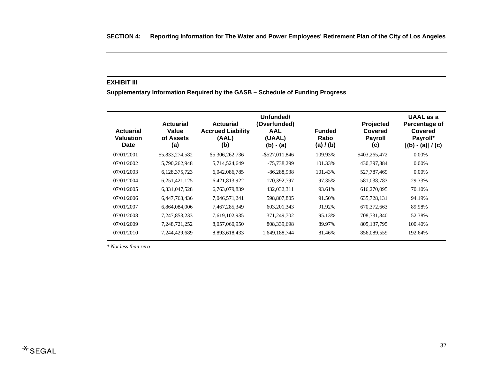#### **EXHIBIT III**

**Supplementary Information Required by the GASB – Schedule of Funding Progress** 

| <b>Actuarial</b><br><b>Valuation</b><br><b>Date</b> | <b>Actuarial</b><br>Value<br>of Assets<br>(a) | <b>Actuarial</b><br><b>Accrued Liability</b><br>(AAL)<br>(b) | Unfunded/<br>(Overfunded)<br><b>AAL</b><br>(UAAL)<br>$(b) - (a)$ | <b>Funded</b><br>Ratio<br>(a) / (b) | Projected<br>Covered<br><b>Payroll</b><br>(c) | UAAL as a<br>Percentage of<br>Covered<br>Payroll*<br>$[(b) - (a)] / (c)$ |
|-----------------------------------------------------|-----------------------------------------------|--------------------------------------------------------------|------------------------------------------------------------------|-------------------------------------|-----------------------------------------------|--------------------------------------------------------------------------|
| 07/01/2001                                          | \$5,833,274,582                               | \$5,306,262,736                                              | $-$ \$527,011,846                                                | 109.93%                             | \$403,265,472                                 | 0.00%                                                                    |
| 07/01/2002                                          | 5,790,262,948                                 | 5,714,524,649                                                | $-75,738,299$                                                    | 101.33%                             | 430, 397, 884                                 | $0.00\%$                                                                 |
| 07/01/2003                                          | 6,128,375,723                                 | 6,042,086,785                                                | $-86,288,938$                                                    | 101.43%                             | 527,787,469                                   | $0.00\%$                                                                 |
| 07/01/2004                                          | 6,251,421,125                                 | 6,421,813,922                                                | 170,392,797                                                      | 97.35%                              | 581,038,783                                   | 29.33%                                                                   |
| 07/01/2005                                          | 6,331,047,528                                 | 6,763,079,839                                                | 432,032,311                                                      | 93.61%                              | 616,270,095                                   | 70.10%                                                                   |
| 07/01/2006                                          | 6,447,763,436                                 | 7,046,571,241                                                | 598,807,805                                                      | 91.50%                              | 635,728,131                                   | 94.19%                                                                   |
| 07/01/2007                                          | 6,864,084,006                                 | 7,467,285,349                                                | 603, 201, 343                                                    | 91.92%                              | 670, 372, 663                                 | 89.98%                                                                   |
| 07/01/2008                                          | 7, 247, 853, 233                              | 7,619,102,935                                                | 371,249,702                                                      | 95.13%                              | 708,731,840                                   | 52.38%                                                                   |
| 07/01/2009                                          | 7,248,721,252                                 | 8,057,060,950                                                | 808,339,698                                                      | 89.97%                              | 805, 137, 795                                 | 100.40%                                                                  |
| 07/01/2010                                          | 7,244,429,689                                 | 8,893,618,433                                                | 1,649,188,744                                                    | 81.46%                              | 856,089,559                                   | 192.64%                                                                  |

*\* Not less than zero*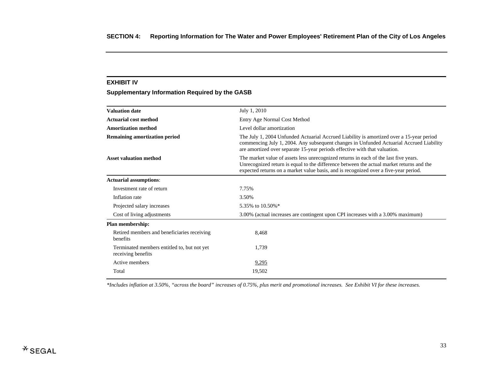#### **EXHIBIT IV**

# **Supplementary Information Required by the GASB**

| <b>Valuation date</b>                                             | July 1, 2010                                                                                                                                                                                                                                                             |
|-------------------------------------------------------------------|--------------------------------------------------------------------------------------------------------------------------------------------------------------------------------------------------------------------------------------------------------------------------|
| <b>Actuarial cost method</b>                                      | Entry Age Normal Cost Method                                                                                                                                                                                                                                             |
| <b>Amortization method</b>                                        | Level dollar amortization                                                                                                                                                                                                                                                |
| <b>Remaining amortization period</b>                              | The July 1, 2004 Unfunded Actuarial Accrued Liability is amortized over a 15-year period<br>commencing July 1, 2004. Any subsequent changes in Unfunded Actuarial Accrued Liability<br>are amortized over separate 15-year periods effective with that valuation.        |
| <b>Asset valuation method</b>                                     | The market value of assets less unrecognized returns in each of the last five years.<br>Unrecognized return is equal to the difference between the actual market returns and the<br>expected returns on a market value basis, and is recognized over a five-year period. |
| <b>Actuarial assumptions:</b>                                     |                                                                                                                                                                                                                                                                          |
| Investment rate of return                                         | 7.75%                                                                                                                                                                                                                                                                    |
| Inflation rate                                                    | 3.50%                                                                                                                                                                                                                                                                    |
| Projected salary increases                                        | 5.35% to 10.50%*                                                                                                                                                                                                                                                         |
| Cost of living adjustments                                        | 3.00% (actual increases are contingent upon CPI increases with a 3.00% maximum)                                                                                                                                                                                          |
| Plan membership:                                                  |                                                                                                                                                                                                                                                                          |
| Retired members and beneficiaries receiving<br>benefits           | 8,468                                                                                                                                                                                                                                                                    |
| Terminated members entitled to, but not yet<br>receiving benefits | 1,739                                                                                                                                                                                                                                                                    |
| Active members                                                    | 9,295                                                                                                                                                                                                                                                                    |
| Total                                                             | 19,502                                                                                                                                                                                                                                                                   |
|                                                                   |                                                                                                                                                                                                                                                                          |

*\*Includes inflation at 3.50%, "across the board" increases of 0.75%, plus merit and promotional increases. See Exhibit VI for these increases.*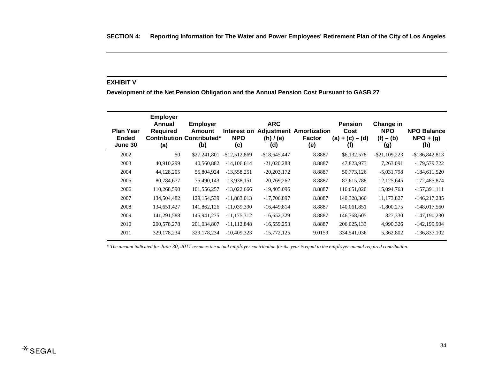#### **EXHIBIT V**

**Development of the Net Pension Obligation and the Annual Pension Cost Pursuant to GASB 27** 

| <b>Plan Year</b><br><b>Ended</b><br>June 30 | <b>Employer</b><br>Annual<br><b>Required</b><br>(a) | <b>Employer</b><br>Amount<br><b>Contribution Contributed*</b><br>(b) | Interest on<br><b>NPO</b><br>(c) | <b>ARC</b><br><b>Adjustment</b><br>(h) / (e)<br>(d) | Amortization<br><b>Factor</b><br>(e) | <b>Pension</b><br>Cost<br>$(a) + (c) - (d)$<br>(f) | Change in<br><b>NPO</b><br>$(f) - (b)$<br>(g) | <b>NPO Balance</b><br>$NPO + (g)$<br>(h) |
|---------------------------------------------|-----------------------------------------------------|----------------------------------------------------------------------|----------------------------------|-----------------------------------------------------|--------------------------------------|----------------------------------------------------|-----------------------------------------------|------------------------------------------|
| 2002                                        | \$0                                                 | \$27,241,801                                                         | $-$12,512,869$                   | $-$18,645,447$                                      | 8.8887                               | \$6,132,578                                        | $-$ \$21,109,223                              | $-$186,842,813$                          |
| 2003                                        | 40,910,299                                          | 40,560,882                                                           | $-14,106,614$                    | $-21,020,288$                                       | 8.8887                               | 47,823,973                                         | 7,263,091                                     | -179,579,722                             |
| 2004                                        | 44,128,205                                          | 55,804,924                                                           | $-13,558,251$                    | $-20,203,172$                                       | 8.8887                               | 50,773,126                                         | $-5,031,798$                                  | $-184,611,520$                           |
| 2005                                        | 80,784,677                                          | 75,490,143                                                           | $-13,938,151$                    | $-20,769,262$                                       | 8.8887                               | 87,615,788                                         | 12, 125, 645                                  | $-172,485,874$                           |
| 2006                                        | 110,268,590                                         | 101,556,257                                                          | $-13,022,666$                    | $-19,405,096$                                       | 8.8887                               | 116,651,020                                        | 15,094,763                                    | $-157,391,111$                           |
| 2007                                        | 134,504,482                                         | 129, 154, 539                                                        | $-11,883,013$                    | $-17,706,897$                                       | 8.8887                               | 140,328,366                                        | 11,173,827                                    | $-146,217,285$                           |
| 2008                                        | 134,651,427                                         | 141,862,126                                                          | $-11,039,390$                    | $-16,449,814$                                       | 8.8887                               | 140,061,851                                        | $-1,800,275$                                  | $-148,017,560$                           |
| 2009                                        | 141,291,588                                         | 145,941,275                                                          | $-11, 175, 312$                  | $-16,652,329$                                       | 8.8887                               | 146,768,605                                        | 827,330                                       | $-147, 190, 230$                         |
| 2010                                        | 200,578,278                                         | 201,034,807                                                          | $-11, 112, 848$                  | $-16,559,253$                                       | 8.8887                               | 206,025,133                                        | 4,990,326                                     | $-142, 199, 904$                         |
| 2011                                        | 329, 178, 234                                       | 329,178,234                                                          | $-10.409.323$                    | $-15,772,125$                                       | 9.0159                               | 334,541,036                                        | 5,362,802                                     | $-136,837,102$                           |
|                                             |                                                     |                                                                      |                                  |                                                     |                                      |                                                    |                                               |                                          |

*\* The amount indicated for June 30, 2011 assumes the actual employer contribution for the year is equal to the employer annual required contribution.*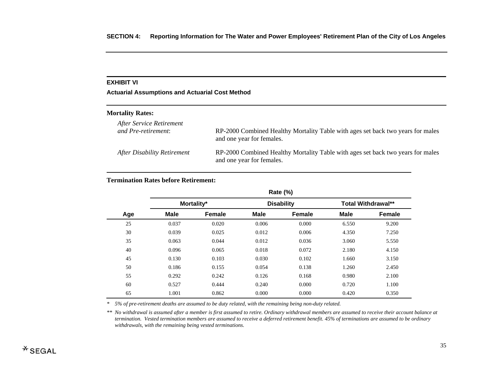# **EXHIBIT VI**

**Actuarial Assumptions and Actuarial Cost Method** 

#### **Mortality Rates:**

| After Service Retirement    | RP-2000 Combined Healthy Mortality Table with ages set back two years for males                              |
|-----------------------------|--------------------------------------------------------------------------------------------------------------|
| and Pre-retirement:         | and one year for females.                                                                                    |
| After Disability Retirement | RP-2000 Combined Healthy Mortality Table with ages set back two years for males<br>and one year for females. |

# **Termination Rates before Retirement:**

|     | Rate (%)    |               |             |                   |                           |               |  |  |
|-----|-------------|---------------|-------------|-------------------|---------------------------|---------------|--|--|
|     | Mortality*  |               |             | <b>Disability</b> | <b>Total Withdrawal**</b> |               |  |  |
| Age | <b>Male</b> | <b>Female</b> | <b>Male</b> | <b>Female</b>     | <b>Male</b>               | <b>Female</b> |  |  |
| 25  | 0.037       | 0.020         | 0.006       | 0.000             | 6.550                     | 9.200         |  |  |
| 30  | 0.039       | 0.025         | 0.012       | 0.006             | 4.350                     | 7.250         |  |  |
| 35  | 0.063       | 0.044         | 0.012       | 0.036             | 3.060                     | 5.550         |  |  |
| 40  | 0.096       | 0.065         | 0.018       | 0.072             | 2.180                     | 4.150         |  |  |
| 45  | 0.130       | 0.103         | 0.030       | 0.102             | 1.660                     | 3.150         |  |  |
| 50  | 0.186       | 0.155         | 0.054       | 0.138             | 1.260                     | 2.450         |  |  |
| 55  | 0.292       | 0.242         | 0.126       | 0.168             | 0.980                     | 2.100         |  |  |
| 60  | 0.527       | 0.444         | 0.240       | 0.000             | 0.720                     | 1.100         |  |  |
| 65  | 1.001       | 0.862         | 0.000       | 0.000             | 0.420                     | 0.350         |  |  |

*\* 5% of pre-retirement deaths are assumed to be duty related, with the remaining being non-duty related.* 

*\*\* No withdrawal is assumed after a member is first assumed to retire. Ordinary withdrawal members are assumed to receive their account balance at termination. Vested termination members are assumed to receive a deferred retirement benefit. 45% of terminations are assumed to be ordinary withdrawals, with the remaining being vested terminations.*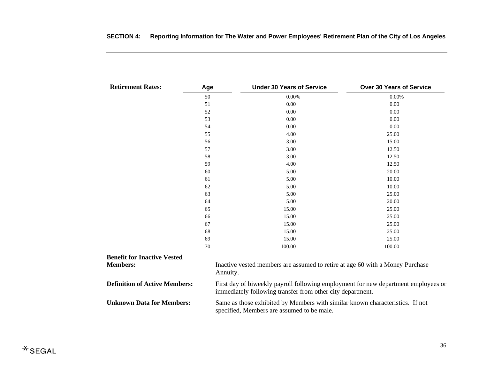| <b>Retirement Rates:</b>             | Age | <b>Under 30 Years of Service</b>                                                                                                                 | <b>Over 30 Years of Service</b> |  |  |  |
|--------------------------------------|-----|--------------------------------------------------------------------------------------------------------------------------------------------------|---------------------------------|--|--|--|
|                                      | 50  | 0.00%                                                                                                                                            | 0.00%                           |  |  |  |
|                                      | 51  | 0.00                                                                                                                                             | 0.00                            |  |  |  |
|                                      | 52  | 0.00                                                                                                                                             | 0.00                            |  |  |  |
|                                      | 53  | 0.00                                                                                                                                             | 0.00                            |  |  |  |
|                                      | 54  | 0.00                                                                                                                                             | 0.00                            |  |  |  |
|                                      | 55  | 4.00                                                                                                                                             | 25.00                           |  |  |  |
|                                      | 56  | 3.00                                                                                                                                             | 15.00                           |  |  |  |
|                                      | 57  | 3.00                                                                                                                                             | 12.50                           |  |  |  |
|                                      | 58  | 3.00                                                                                                                                             | 12.50                           |  |  |  |
|                                      | 59  | 4.00                                                                                                                                             | 12.50                           |  |  |  |
|                                      | 60  | 5.00                                                                                                                                             | 20.00                           |  |  |  |
|                                      | 61  | 5.00                                                                                                                                             | 10.00                           |  |  |  |
|                                      | 62  | 5.00                                                                                                                                             | 10.00                           |  |  |  |
|                                      | 63  | 5.00                                                                                                                                             | 25.00                           |  |  |  |
|                                      | 64  | 5.00                                                                                                                                             | 20.00                           |  |  |  |
|                                      | 65  | 15.00                                                                                                                                            | 25.00                           |  |  |  |
|                                      | 66  | 15.00                                                                                                                                            | 25.00                           |  |  |  |
|                                      | 67  | 15.00                                                                                                                                            | 25.00                           |  |  |  |
|                                      | 68  | 15.00                                                                                                                                            | 25.00                           |  |  |  |
|                                      | 69  | 15.00                                                                                                                                            | 25.00                           |  |  |  |
|                                      | 70  | 100.00                                                                                                                                           | 100.00                          |  |  |  |
| <b>Benefit for Inactive Vested</b>   |     |                                                                                                                                                  |                                 |  |  |  |
| <b>Members:</b>                      |     | Inactive vested members are assumed to retire at age 60 with a Money Purchase<br>Annuity.                                                        |                                 |  |  |  |
| <b>Definition of Active Members:</b> |     | First day of biweekly payroll following employment for new department employees or<br>immediately following transfer from other city department. |                                 |  |  |  |
| <b>Unknown Data for Members:</b>     |     | Same as those exhibited by Members with similar known characteristics. If not<br>specified, Members are assumed to be male.                      |                                 |  |  |  |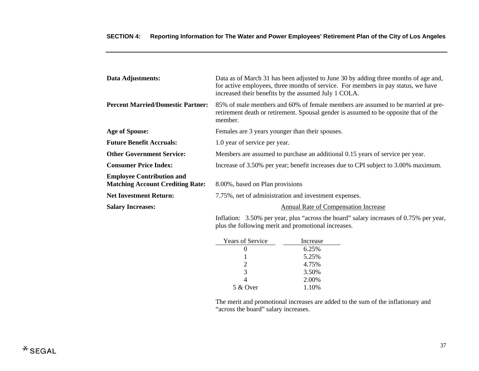| Data Adjustments:                                                           | Data as of March 31 has been adjusted to June 30 by adding three months of age and,<br>for active employees, three months of service. For members in pay status, we have<br>increased their benefits by the assumed July 1 COLA. |
|-----------------------------------------------------------------------------|----------------------------------------------------------------------------------------------------------------------------------------------------------------------------------------------------------------------------------|
| <b>Percent Married/Domestic Partner:</b>                                    | 85% of male members and 60% of female members are assumed to be married at pre-<br>retirement death or retirement. Spousal gender is assumed to be opposite that of the<br>member.                                               |
| <b>Age of Spouse:</b>                                                       | Females are 3 years younger than their spouses.                                                                                                                                                                                  |
| <b>Future Benefit Accruals:</b>                                             | 1.0 year of service per year.                                                                                                                                                                                                    |
| <b>Other Government Service:</b>                                            | Members are assumed to purchase an additional 0.15 years of service per year.                                                                                                                                                    |
| <b>Consumer Price Index:</b>                                                | Increase of 3.50% per year; benefit increases due to CPI subject to 3.00% maximum.                                                                                                                                               |
| <b>Employee Contribution and</b><br><b>Matching Account Crediting Rate:</b> | 8.00%, based on Plan provisions                                                                                                                                                                                                  |
| <b>Net Investment Return:</b>                                               | 7.75%, net of administration and investment expenses.                                                                                                                                                                            |
| <b>Salary Increases:</b>                                                    | Annual Rate of Compensation Increase                                                                                                                                                                                             |
|                                                                             | Inflation: 3.50% per year, plus "across the board" salary increases of 0.75% per year,<br>plus the following merit and promotional increases.                                                                                    |

| <b>Years of Service</b> | Increase |
|-------------------------|----------|
|                         | 6.25%    |
|                         | 5.25%    |
| $\mathcal{D}_{\cdot}$   | 4.75%    |
| 3                       | 3.50%    |
|                         | 2.00%    |
| 5 & Over                | 1.10%    |

 The merit and promotional increases are added to the sum of the inflationary and "across the board" salary increases.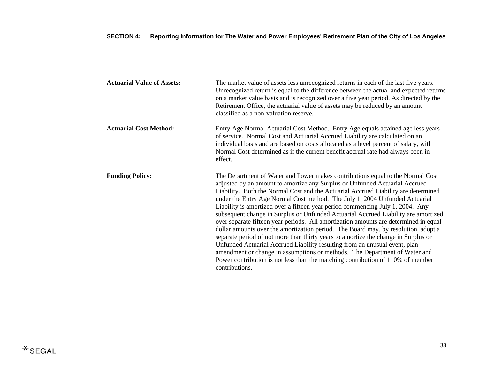| <b>Actuarial Value of Assets:</b> | The market value of assets less unrecognized returns in each of the last five years.<br>Unrecognized return is equal to the difference between the actual and expected returns<br>on a market value basis and is recognized over a five year period. As directed by the<br>Retirement Office, the actuarial value of assets may be reduced by an amount<br>classified as a non-valuation reserve.                                                                                                                                                                                                                                                                                                                                                                                                                                                                                                                                                                                                                                               |
|-----------------------------------|-------------------------------------------------------------------------------------------------------------------------------------------------------------------------------------------------------------------------------------------------------------------------------------------------------------------------------------------------------------------------------------------------------------------------------------------------------------------------------------------------------------------------------------------------------------------------------------------------------------------------------------------------------------------------------------------------------------------------------------------------------------------------------------------------------------------------------------------------------------------------------------------------------------------------------------------------------------------------------------------------------------------------------------------------|
| <b>Actuarial Cost Method:</b>     | Entry Age Normal Actuarial Cost Method. Entry Age equals attained age less years<br>of service. Normal Cost and Actuarial Accrued Liability are calculated on an<br>individual basis and are based on costs allocated as a level percent of salary, with<br>Normal Cost determined as if the current benefit accrual rate had always been in<br>effect.                                                                                                                                                                                                                                                                                                                                                                                                                                                                                                                                                                                                                                                                                         |
| <b>Funding Policy:</b>            | The Department of Water and Power makes contributions equal to the Normal Cost<br>adjusted by an amount to amortize any Surplus or Unfunded Actuarial Accrued<br>Liability. Both the Normal Cost and the Actuarial Accrued Liability are determined<br>under the Entry Age Normal Cost method. The July 1, 2004 Unfunded Actuarial<br>Liability is amortized over a fifteen year period commencing July 1, 2004. Any<br>subsequent change in Surplus or Unfunded Actuarial Accrued Liability are amortized<br>over separate fifteen year periods. All amortization amounts are determined in equal<br>dollar amounts over the amortization period. The Board may, by resolution, adopt a<br>separate period of not more than thirty years to amortize the change in Surplus or<br>Unfunded Actuarial Accrued Liability resulting from an unusual event, plan<br>amendment or change in assumptions or methods. The Department of Water and<br>Power contribution is not less than the matching contribution of 110% of member<br>contributions. |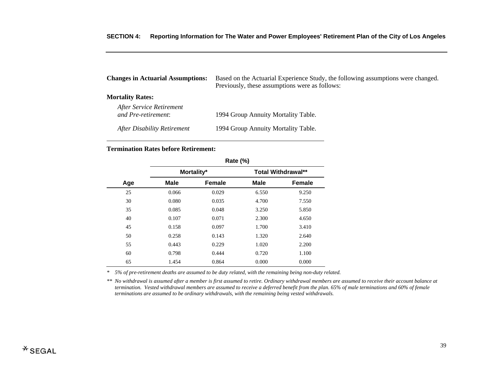| <b>Changes in Actuarial Assumptions:</b>        | Based on the Actuarial Experience Study, the following assumptions were changed.<br>Previously, these assumptions were as follows: |
|-------------------------------------------------|------------------------------------------------------------------------------------------------------------------------------------|
| <b>Mortality Rates:</b>                         |                                                                                                                                    |
| After Service Retirement<br>and Pre-retirement: | 1994 Group Annuity Mortality Table.                                                                                                |
| After Disability Retirement                     | 1994 Group Annuity Mortality Table.                                                                                                |

#### **Termination Rates before Retirement:**

|     | Rate (%) |            |       |                           |
|-----|----------|------------|-------|---------------------------|
|     |          | Mortality* |       | <b>Total Withdrawal**</b> |
| Age | Male     | Female     | Male  | <b>Female</b>             |
| 25  | 0.066    | 0.029      | 6.550 | 9.250                     |
| 30  | 0.080    | 0.035      | 4.700 | 7.550                     |
| 35  | 0.085    | 0.048      | 3.250 | 5.850                     |
| 40  | 0.107    | 0.071      | 2.300 | 4.650                     |
| 45  | 0.158    | 0.097      | 1.700 | 3.410                     |
| 50  | 0.258    | 0.143      | 1.320 | 2.640                     |
| 55  | 0.443    | 0.229      | 1.020 | 2.200                     |
| 60  | 0.798    | 0.444      | 0.720 | 1.100                     |
| 65  | 1.454    | 0.864      | 0.000 | 0.000                     |

*\* 5% of pre-retirement deaths are assumed to be duty related, with the remaining being non-duty related.* 

*\*\* No withdrawal is assumed after a member is first assumed to retire. Ordinary withdrawal members are assumed to receive their account balance at termination. Vested withdrawal members are assumed to receive a deferred benefit from the plan. 65% of male terminations and 60% of female terminations are assumed to be ordinary withdrawals, with the remaining being vested withdrawals.*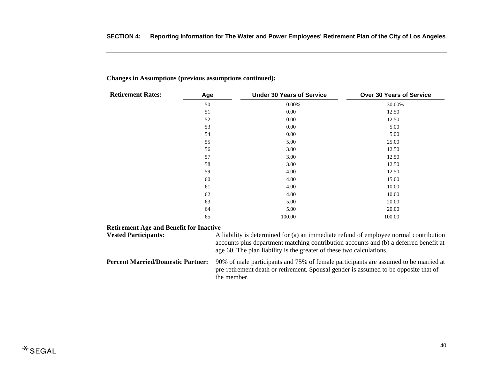| <b>Retirement Rates:</b>                       | Age | <b>Under 30 Years of Service</b>                                                      | <b>Over 30 Years of Service</b> |
|------------------------------------------------|-----|---------------------------------------------------------------------------------------|---------------------------------|
|                                                | 50  | 0.00%                                                                                 | 30.00%                          |
|                                                | 51  | 0.00                                                                                  | 12.50                           |
|                                                | 52  | 0.00                                                                                  | 12.50                           |
|                                                | 53  | 0.00                                                                                  | 5.00                            |
|                                                | 54  | 0.00                                                                                  | 5.00                            |
|                                                | 55  | 5.00                                                                                  | 25.00                           |
|                                                | 56  | 3.00                                                                                  | 12.50                           |
|                                                | 57  | 3.00                                                                                  | 12.50                           |
|                                                | 58  | 3.00                                                                                  | 12.50                           |
|                                                | 59  | 4.00                                                                                  | 12.50                           |
|                                                | 60  | 4.00                                                                                  | 15.00                           |
|                                                | 61  | 4.00                                                                                  | 10.00                           |
|                                                | 62  | 4.00                                                                                  | 10.00                           |
|                                                | 63  | 5.00                                                                                  | 20.00                           |
|                                                | 64  | 5.00                                                                                  | 20.00                           |
|                                                | 65  | 100.00                                                                                | 100.00                          |
| <b>Retirement Age and Benefit for Inactive</b> |     |                                                                                       |                                 |
| <b><i><u>Ested Participants:</u></i></b>       |     | A liability is determined for (a) an immediate refund of employee normal contribution |                                 |

**Changes in Assumptions (previous assumptions continued):** 

#### **Retirement Age and Benefit for Inactive**

| <b>Vested Participants:</b>              | A liability is determined for (a) an immediate refund of employee normal contribution<br>accounts plus department matching contribution accounts and (b) a deferred benefit at<br>age 60. The plan liability is the greater of these two calculations. |
|------------------------------------------|--------------------------------------------------------------------------------------------------------------------------------------------------------------------------------------------------------------------------------------------------------|
| <b>Percent Married/Domestic Partner:</b> | 90% of male participants and 75% of female participants are assumed to be married at<br>pre-retirement death or retirement. Spousal gender is assumed to be opposite that of<br>the member.                                                            |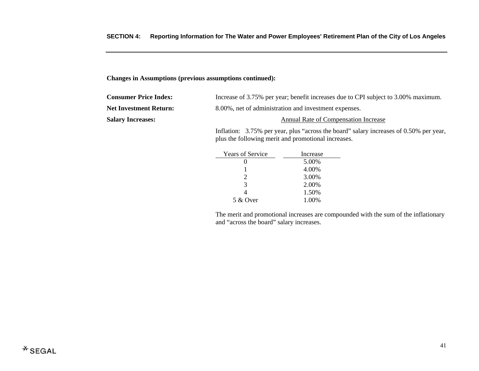#### **Changes in Assumptions (previous assumptions continued):**

| <b>Consumer Price Index:</b>  | Increase of 3.75% per year; benefit increases due to CPI subject to 3.00% maximum.    |  |
|-------------------------------|---------------------------------------------------------------------------------------|--|
| <b>Net Investment Return:</b> | 8.00%, net of administration and investment expenses.                                 |  |
| <b>Salary Increases:</b>      | Annual Rate of Compensation Increase                                                  |  |
|                               | Latterian: $2.750$ non year plue "comess the hoard" solem increases of 0.500 non year |  |

 Inflation: 3.75% per year, plus "across the board" salary increases of 0.50% per year, plus the following merit and promotional increases.

| <b>Years of Service</b> | Increase |
|-------------------------|----------|
|                         | 5.00%    |
|                         | 4.00%    |
| 2                       | 3.00%    |
| $\mathcal{R}$           | 2.00%    |
|                         | 1.50%    |
| 5 & Over                | 1.00%    |

 The merit and promotional increases are compounded with the sum of the inflationary and "across the board" salary increases.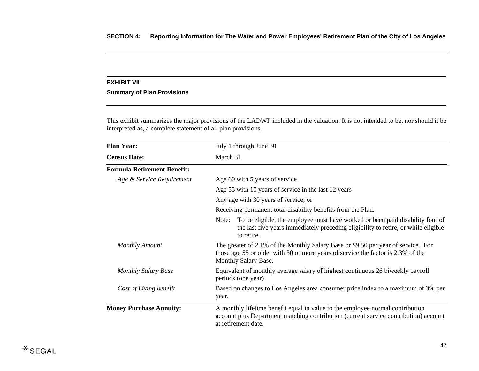#### **EXHIBIT VII**

# **Summary of Plan Provisions**

This exhibit summarizes the major provisions of the LADWP included in the valuation. It is not intended to be, nor should it be interpreted as, a complete statement of all plan provisions.

| <b>Plan Year:</b>                  | July 1 through June 30                                                                                                                                                                        |  |
|------------------------------------|-----------------------------------------------------------------------------------------------------------------------------------------------------------------------------------------------|--|
| <b>Census Date:</b>                | March 31                                                                                                                                                                                      |  |
| <b>Formula Retirement Benefit:</b> |                                                                                                                                                                                               |  |
| Age & Service Requirement          | Age 60 with 5 years of service                                                                                                                                                                |  |
|                                    | Age 55 with 10 years of service in the last 12 years                                                                                                                                          |  |
|                                    | Any age with 30 years of service; or                                                                                                                                                          |  |
|                                    | Receiving permanent total disability benefits from the Plan.                                                                                                                                  |  |
|                                    | To be eligible, the employee must have worked or been paid disability four of<br>Note:<br>the last five years immediately preceding eligibility to retire, or while eligible<br>to retire.    |  |
| <b>Monthly Amount</b>              | The greater of 2.1% of the Monthly Salary Base or \$9.50 per year of service. For<br>those age 55 or older with 30 or more years of service the factor is 2.3% of the<br>Monthly Salary Base. |  |
| <b>Monthly Salary Base</b>         | Equivalent of monthly average salary of highest continuous 26 biweekly payroll<br>periods (one year).                                                                                         |  |
| Cost of Living benefit             | Based on changes to Los Angeles area consumer price index to a maximum of 3% per<br>year.                                                                                                     |  |
| <b>Money Purchase Annuity:</b>     | A monthly lifetime benefit equal in value to the employee normal contribution<br>account plus Department matching contribution (current service contribution) account<br>at retirement date.  |  |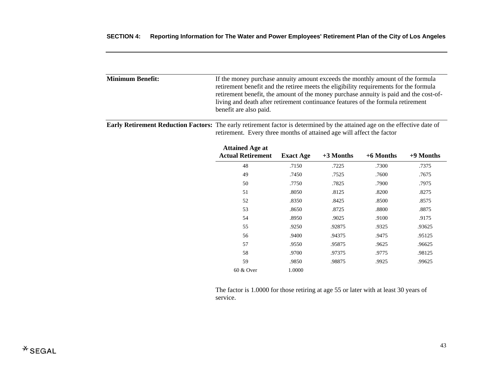| <b>Minimum Benefit:</b> | If the money purchase annuity amount exceeds the monthly amount of the formula<br>retirement benefit and the retiree meets the eligibility requirements for the formula   |
|-------------------------|---------------------------------------------------------------------------------------------------------------------------------------------------------------------------|
|                         | retirement benefit, the amount of the money purchase annuity is paid and the cost-of-<br>living and death after retirement continuance features of the formula retirement |
|                         | benefit are also paid.                                                                                                                                                    |

**Early Retirement Reduction Factors:** The early retirement factor is determined by the attained age on the effective date of retirement. Every three months of attained age will affect the factor

| <b>Attained Age at</b><br><b>Actual Retirement</b> | <b>Exact Age</b> | $+3$ Months | $+6$ Months | $+9$ Months |
|----------------------------------------------------|------------------|-------------|-------------|-------------|
| 48                                                 | .7150            | .7225       | .7300       | .7375       |
| 49                                                 | .7450            | .7525       | .7600       | .7675       |
| 50                                                 | .7750            | .7825       | .7900       | .7975       |
| 51                                                 | .8050            | .8125       | .8200       | .8275       |
| 52                                                 | .8350            | .8425       | .8500       | .8575       |
| 53                                                 | .8650            | .8725       | .8800       | .8875       |
| 54                                                 | .8950            | .9025       | .9100       | .9175       |
| 55                                                 | .9250            | .92875      | .9325       | .93625      |
| 56                                                 | .9400            | .94375      | .9475       | .95125      |
| 57                                                 | .9550            | .95875      | .9625       | .96625      |
| 58                                                 | .9700            | .97375      | .9775       | .98125      |
| 59                                                 | .9850            | .98875      | .9925       | .99625      |
| 60 & Over                                          | 1.0000           |             |             |             |

 The factor is 1.0000 for those retiring at age 55 or later with at least 30 years of service.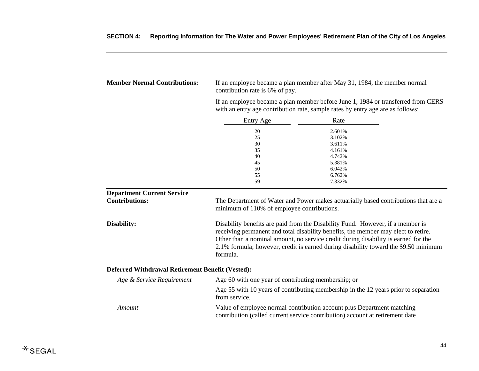| <b>Member Normal Contributions:</b>                        | If an employee became a plan member after May 31, 1984, the member normal<br>contribution rate is 6% of pay.<br>If an employee became a plan member before June 1, 1984 or transferred from CERS<br>with an entry age contribution rate, sample rates by entry age are as follows:                                                                            |                                                                                    |  |
|------------------------------------------------------------|---------------------------------------------------------------------------------------------------------------------------------------------------------------------------------------------------------------------------------------------------------------------------------------------------------------------------------------------------------------|------------------------------------------------------------------------------------|--|
|                                                            |                                                                                                                                                                                                                                                                                                                                                               |                                                                                    |  |
|                                                            | Entry Age                                                                                                                                                                                                                                                                                                                                                     | Rate                                                                               |  |
|                                                            | 20<br>25<br>30<br>35<br>40<br>45                                                                                                                                                                                                                                                                                                                              | 2.601%<br>3.102%<br>3.611%<br>4.161%<br>4.742%<br>5.381%                           |  |
|                                                            | 50<br>55<br>59                                                                                                                                                                                                                                                                                                                                                | 6.042%<br>6.762%<br>7.332%                                                         |  |
| <b>Department Current Service</b><br><b>Contributions:</b> | minimum of 110% of employee contributions.                                                                                                                                                                                                                                                                                                                    | The Department of Water and Power makes actuarially based contributions that are a |  |
| Disability:                                                | Disability benefits are paid from the Disability Fund. However, if a member is<br>receiving permanent and total disability benefits, the member may elect to retire.<br>Other than a nominal amount, no service credit during disability is earned for the<br>2.1% formula; however, credit is earned during disability toward the \$9.50 minimum<br>formula. |                                                                                    |  |
| Deferred Withdrawal Retirement Benefit (Vested):           |                                                                                                                                                                                                                                                                                                                                                               |                                                                                    |  |
| Age & Service Requirement                                  | Age 60 with one year of contributing membership; or                                                                                                                                                                                                                                                                                                           |                                                                                    |  |
|                                                            | Age 55 with 10 years of contributing membership in the 12 years prior to separation<br>from service.                                                                                                                                                                                                                                                          |                                                                                    |  |
| Amount                                                     | Value of employee normal contribution account plus Department matching<br>contribution (called current service contribution) account at retirement date                                                                                                                                                                                                       |                                                                                    |  |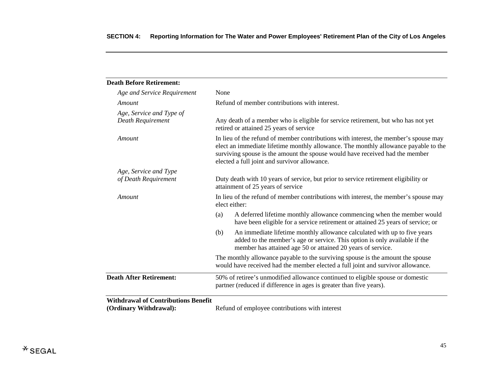| <b>Death Before Retirement:</b>               |                                                                                                                                                                                                                                                                                                             |
|-----------------------------------------------|-------------------------------------------------------------------------------------------------------------------------------------------------------------------------------------------------------------------------------------------------------------------------------------------------------------|
| Age and Service Requirement                   | None                                                                                                                                                                                                                                                                                                        |
| Amount                                        | Refund of member contributions with interest.                                                                                                                                                                                                                                                               |
| Age, Service and Type of<br>Death Requirement | Any death of a member who is eligible for service retirement, but who has not yet<br>retired or attained 25 years of service                                                                                                                                                                                |
| Amount                                        | In lieu of the refund of member contributions with interest, the member's spouse may<br>elect an immediate lifetime monthly allowance. The monthly allowance payable to the<br>surviving spouse is the amount the spouse would have received had the member<br>elected a full joint and survivor allowance. |
| Age, Service and Type                         |                                                                                                                                                                                                                                                                                                             |
| of Death Requirement                          | Duty death with 10 years of service, but prior to service retirement eligibility or<br>attainment of 25 years of service                                                                                                                                                                                    |
| Amount                                        | In lieu of the refund of member contributions with interest, the member's spouse may<br>elect either:                                                                                                                                                                                                       |
|                                               | A deferred lifetime monthly allowance commencing when the member would<br>(a)<br>have been eligible for a service retirement or attained 25 years of service; or                                                                                                                                            |
|                                               | An immediate lifetime monthly allowance calculated with up to five years<br>(b)<br>added to the member's age or service. This option is only available if the<br>member has attained age 50 or attained 20 years of service.                                                                                |
|                                               | The monthly allowance payable to the surviving spouse is the amount the spouse<br>would have received had the member elected a full joint and survivor allowance.                                                                                                                                           |
| <b>Death After Retirement:</b>                | 50% of retiree's unmodified allowance continued to eligible spouse or domestic<br>partner (reduced if difference in ages is greater than five years).                                                                                                                                                       |
| <b>Withdrawal of Contributions Benefit</b>    |                                                                                                                                                                                                                                                                                                             |
| (Ordinary Withdrawal):                        | Refund of employee contributions with interest                                                                                                                                                                                                                                                              |